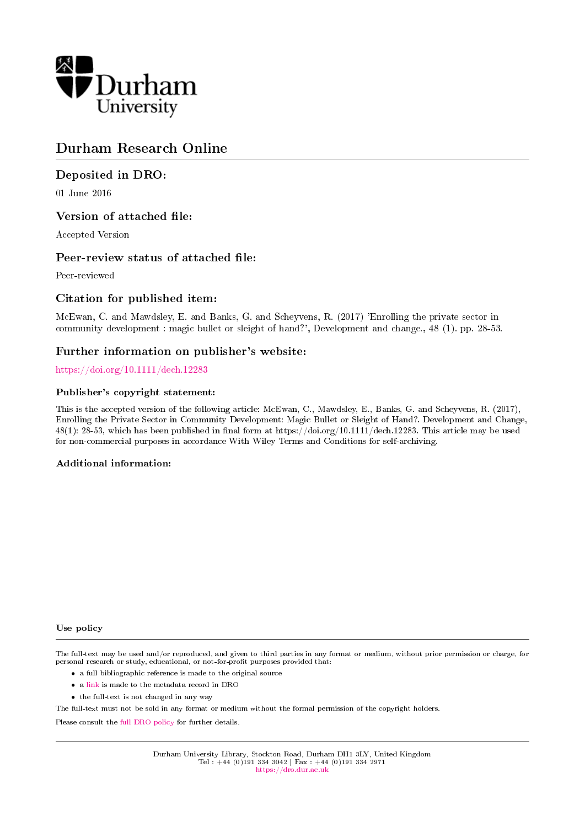

# Durham Research Online

# Deposited in DRO:

01 June 2016

# Version of attached file:

Accepted Version

# Peer-review status of attached file:

Peer-reviewed

# Citation for published item:

McEwan, C. and Mawdsley, E. and Banks, G. and Scheyvens, R. (2017) 'Enrolling the private sector in community development : magic bullet or sleight of hand?', Development and change., 48 (1). pp. 28-53.

# Further information on publisher's website:

#### <https://doi.org/10.1111/dech.12283>

#### Publisher's copyright statement:

This is the accepted version of the following article: McEwan, C., Mawdsley, E., Banks, G. and Scheyvens, R. (2017), Enrolling the Private Sector in Community Development: Magic Bullet or Sleight of Hand?. Development and Change, 48(1): 28-53, which has been published in final form at https://doi.org/10.1111/dech.12283. This article may be used for non-commercial purposes in accordance With Wiley Terms and Conditions for self-archiving.

## Additional information:

#### Use policy

The full-text may be used and/or reproduced, and given to third parties in any format or medium, without prior permission or charge, for personal research or study, educational, or not-for-profit purposes provided that:

- a full bibliographic reference is made to the original source
- a [link](http://dro.dur.ac.uk/18897/) is made to the metadata record in DRO
- the full-text is not changed in any way

The full-text must not be sold in any format or medium without the formal permission of the copyright holders.

Please consult the [full DRO policy](https://dro.dur.ac.uk/policies/usepolicy.pdf) for further details.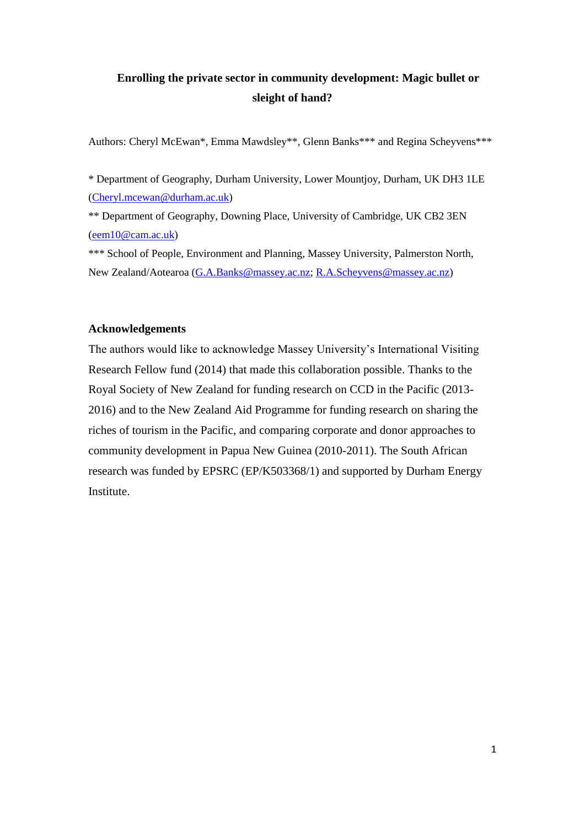# **Enrolling the private sector in community development: Magic bullet or sleight of hand?**

Authors: Cheryl McEwan\*, Emma Mawdsley\*\*, Glenn Banks\*\*\* and Regina Scheyvens\*\*\*

\* Department of Geography, Durham University, Lower Mountjoy, Durham, UK DH3 1LE [\(Cheryl.mcewan@durham.ac.uk\)](mailto:Cheryl.mcewan@durham.ac.uk)

\*\* Department of Geography, Downing Place, University of Cambridge, UK CB2 3EN [\(eem10@cam.ac.uk\)](mailto:eem10@cam.ac.uk)

\*\*\* School of People, Environment and Planning, Massey University, Palmerston North, New Zealand/Aotearoa [\(G.A.Banks@massey.ac.nz;](mailto:G.A.Banks@massey.ac.nz) [R.A.Scheyvens@massey.ac.nz\)](mailto:R.A.Scheyvens@massey.ac.nz)

# **Acknowledgements**

The authors would like to acknowledge Massey University's International Visiting Research Fellow fund (2014) that made this collaboration possible. Thanks to the Royal Society of New Zealand for funding research on CCD in the Pacific (2013- 2016) and to the New Zealand Aid Programme for funding research on sharing the riches of tourism in the Pacific, and comparing corporate and donor approaches to community development in Papua New Guinea (2010-2011). The South African research was funded by EPSRC (EP/K503368/1) and supported by Durham Energy Institute.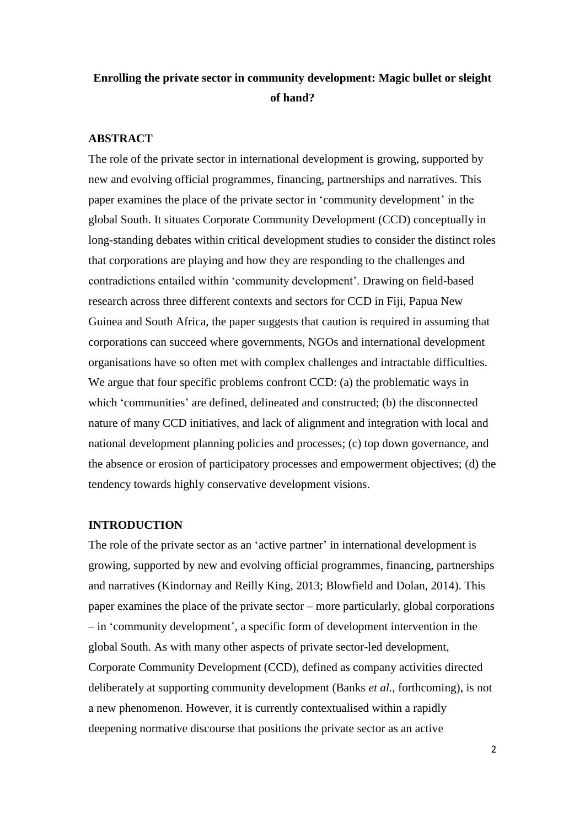# **Enrolling the private sector in community development: Magic bullet or sleight of hand?**

# **ABSTRACT**

The role of the private sector in international development is growing, supported by new and evolving official programmes, financing, partnerships and narratives. This paper examines the place of the private sector in 'community development' in the global South. It situates Corporate Community Development (CCD) conceptually in long-standing debates within critical development studies to consider the distinct roles that corporations are playing and how they are responding to the challenges and contradictions entailed within 'community development'. Drawing on field-based research across three different contexts and sectors for CCD in Fiji, Papua New Guinea and South Africa, the paper suggests that caution is required in assuming that corporations can succeed where governments, NGOs and international development organisations have so often met with complex challenges and intractable difficulties. We argue that four specific problems confront CCD: (a) the problematic ways in which 'communities' are defined, delineated and constructed; (b) the disconnected nature of many CCD initiatives, and lack of alignment and integration with local and national development planning policies and processes; (c) top down governance, and the absence or erosion of participatory processes and empowerment objectives; (d) the tendency towards highly conservative development visions.

## **INTRODUCTION**

The role of the private sector as an 'active partner' in international development is growing, supported by new and evolving official programmes, financing, partnerships and narratives (Kindornay and Reilly King, 2013; Blowfield and Dolan, 2014). This paper examines the place of the private sector – more particularly, global corporations – in 'community development', a specific form of development intervention in the global South. As with many other aspects of private sector-led development, Corporate Community Development (CCD), defined as company activities directed deliberately at supporting community development (Banks *et al.*, forthcoming), is not a new phenomenon. However, it is currently contextualised within a rapidly deepening normative discourse that positions the private sector as an active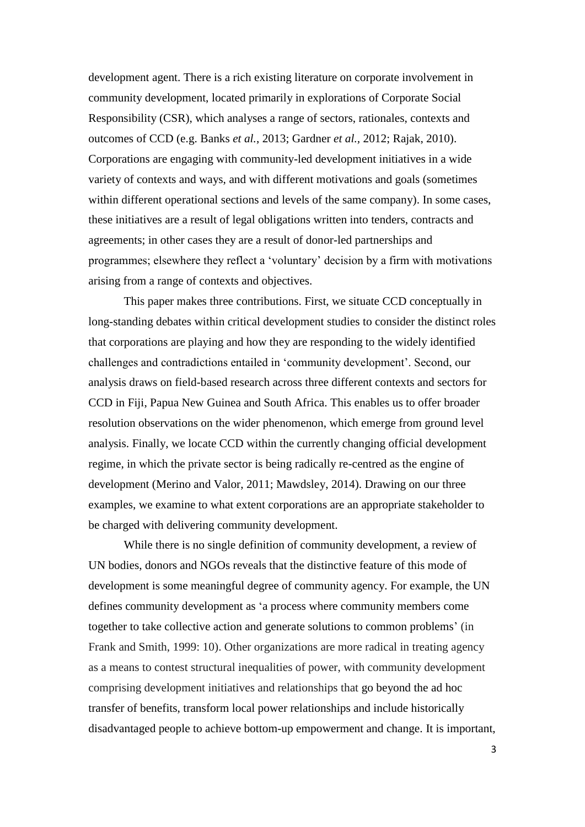development agent. There is a rich existing literature on corporate involvement in community development, located primarily in explorations of Corporate Social Responsibility (CSR), which analyses a range of sectors, rationales, contexts and outcomes of CCD (e.g. Banks *et al.*, 2013; Gardner *et al.,* 2012; Rajak, 2010). Corporations are engaging with community-led development initiatives in a wide variety of contexts and ways, and with different motivations and goals (sometimes within different operational sections and levels of the same company). In some cases, these initiatives are a result of legal obligations written into tenders, contracts and agreements; in other cases they are a result of donor-led partnerships and programmes; elsewhere they reflect a 'voluntary' decision by a firm with motivations arising from a range of contexts and objectives.

This paper makes three contributions. First, we situate CCD conceptually in long-standing debates within critical development studies to consider the distinct roles that corporations are playing and how they are responding to the widely identified challenges and contradictions entailed in 'community development'. Second, our analysis draws on field-based research across three different contexts and sectors for CCD in Fiji, Papua New Guinea and South Africa. This enables us to offer broader resolution observations on the wider phenomenon, which emerge from ground level analysis. Finally, we locate CCD within the currently changing official development regime, in which the private sector is being radically re-centred as the engine of development (Merino and Valor, 2011; Mawdsley, 2014). Drawing on our three examples, we examine to what extent corporations are an appropriate stakeholder to be charged with delivering community development.

While there is no single definition of community development, a review of UN bodies, donors and NGOs reveals that the distinctive feature of this mode of development is some meaningful degree of community agency. For example, the UN defines community development as 'a process where community members come together to take collective action and generate solutions to common problems' (in Frank and Smith, 1999: 10). Other organizations are more radical in treating agency as a means to contest structural inequalities of power, with community development comprising development initiatives and relationships that go beyond the ad hoc transfer of benefits, transform local power relationships and include historically disadvantaged people to achieve bottom-up empowerment and change. It is important,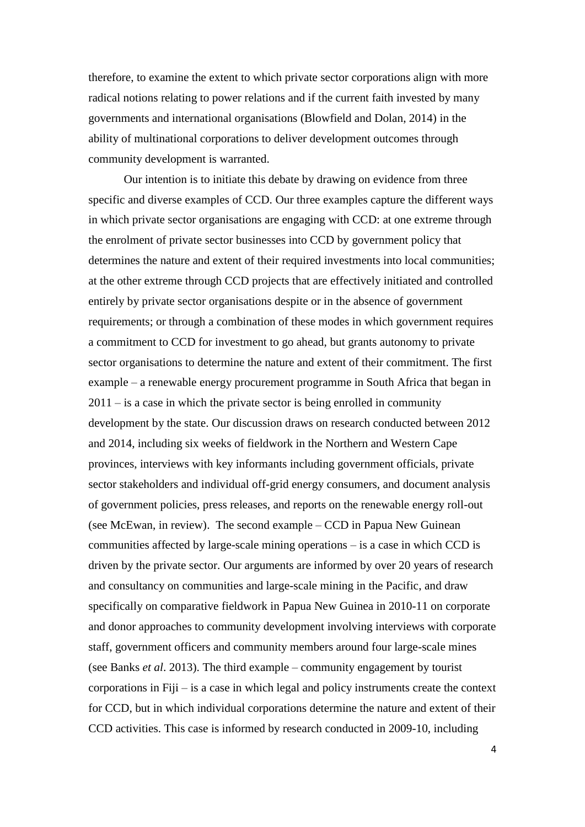therefore, to examine the extent to which private sector corporations align with more radical notions relating to power relations and if the current faith invested by many governments and international organisations (Blowfield and Dolan, 2014) in the ability of multinational corporations to deliver development outcomes through community development is warranted.

Our intention is to initiate this debate by drawing on evidence from three specific and diverse examples of CCD. Our three examples capture the different ways in which private sector organisations are engaging with CCD: at one extreme through the enrolment of private sector businesses into CCD by government policy that determines the nature and extent of their required investments into local communities; at the other extreme through CCD projects that are effectively initiated and controlled entirely by private sector organisations despite or in the absence of government requirements; or through a combination of these modes in which government requires a commitment to CCD for investment to go ahead, but grants autonomy to private sector organisations to determine the nature and extent of their commitment. The first example – a renewable energy procurement programme in South Africa that began in 2011 – is a case in which the private sector is being enrolled in community development by the state. Our discussion draws on research conducted between 2012 and 2014, including six weeks of fieldwork in the Northern and Western Cape provinces, interviews with key informants including government officials, private sector stakeholders and individual off-grid energy consumers, and document analysis of government policies, press releases, and reports on the renewable energy roll-out (see McEwan, in review). The second example – CCD in Papua New Guinean communities affected by large-scale mining operations – is a case in which CCD is driven by the private sector. Our arguments are informed by over 20 years of research and consultancy on communities and large-scale mining in the Pacific, and draw specifically on comparative fieldwork in Papua New Guinea in 2010-11 on corporate and donor approaches to community development involving interviews with corporate staff, government officers and community members around four large-scale mines (see Banks *et al*. 2013). The third example – community engagement by tourist corporations in Fiji – is a case in which legal and policy instruments create the context for CCD, but in which individual corporations determine the nature and extent of their CCD activities. This case is informed by research conducted in 2009-10, including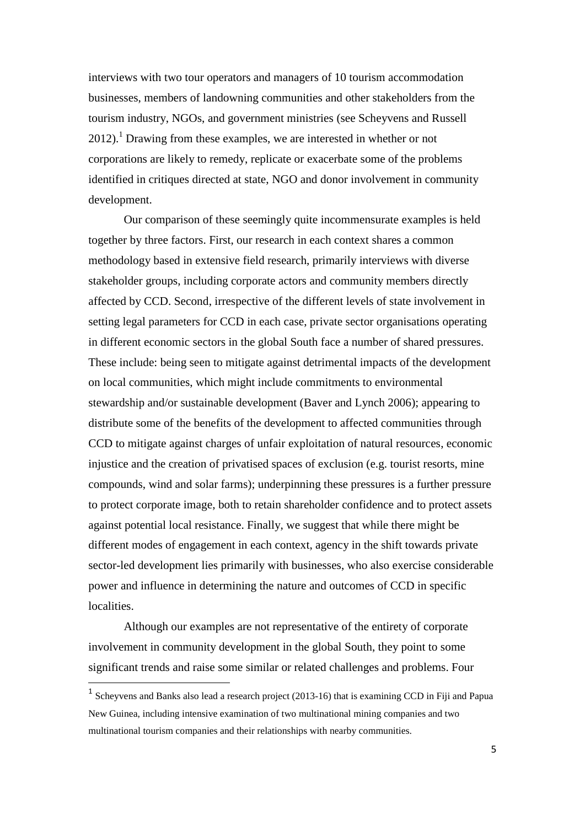interviews with two tour operators and managers of 10 tourism accommodation businesses, members of landowning communities and other stakeholders from the tourism industry, NGOs, and government ministries (see Scheyvens and Russell  $2012$ ).<sup>1</sup> Drawing from these examples, we are interested in whether or not corporations are likely to remedy, replicate or exacerbate some of the problems identified in critiques directed at state, NGO and donor involvement in community development.

Our comparison of these seemingly quite incommensurate examples is held together by three factors. First, our research in each context shares a common methodology based in extensive field research, primarily interviews with diverse stakeholder groups, including corporate actors and community members directly affected by CCD. Second, irrespective of the different levels of state involvement in setting legal parameters for CCD in each case, private sector organisations operating in different economic sectors in the global South face a number of shared pressures. These include: being seen to mitigate against detrimental impacts of the development on local communities, which might include commitments to environmental stewardship and/or sustainable development (Baver and Lynch 2006); appearing to distribute some of the benefits of the development to affected communities through CCD to mitigate against charges of unfair exploitation of natural resources, economic injustice and the creation of privatised spaces of exclusion (e.g. tourist resorts, mine compounds, wind and solar farms); underpinning these pressures is a further pressure to protect corporate image, both to retain shareholder confidence and to protect assets against potential local resistance. Finally, we suggest that while there might be different modes of engagement in each context, agency in the shift towards private sector-led development lies primarily with businesses, who also exercise considerable power and influence in determining the nature and outcomes of CCD in specific localities.

Although our examples are not representative of the entirety of corporate involvement in community development in the global South, they point to some significant trends and raise some similar or related challenges and problems. Four

**.** 

<sup>&</sup>lt;sup>1</sup> Scheyvens and Banks also lead a research project (2013-16) that is examining CCD in Fiji and Papua New Guinea, including intensive examination of two multinational mining companies and two multinational tourism companies and their relationships with nearby communities.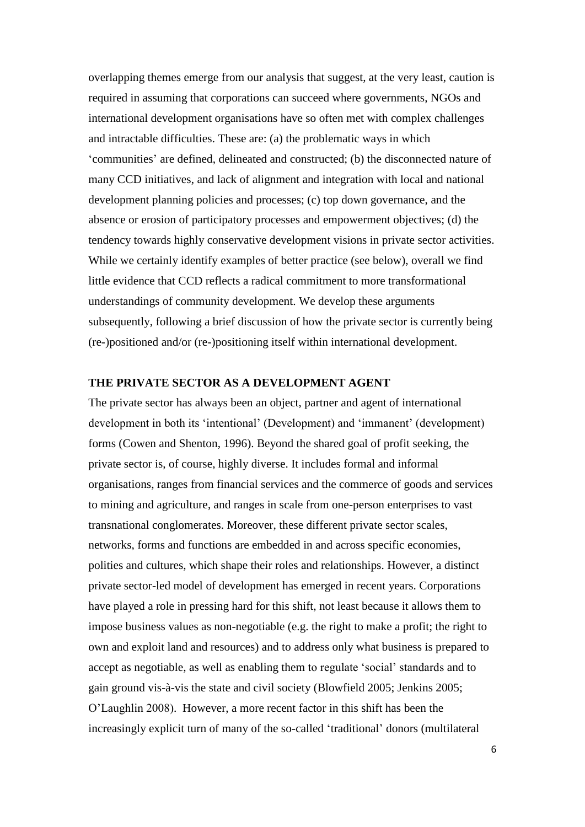overlapping themes emerge from our analysis that suggest, at the very least, caution is required in assuming that corporations can succeed where governments, NGOs and international development organisations have so often met with complex challenges and intractable difficulties. These are: (a) the problematic ways in which 'communities' are defined, delineated and constructed; (b) the disconnected nature of many CCD initiatives, and lack of alignment and integration with local and national development planning policies and processes; (c) top down governance, and the absence or erosion of participatory processes and empowerment objectives; (d) the tendency towards highly conservative development visions in private sector activities. While we certainly identify examples of better practice (see below), overall we find little evidence that CCD reflects a radical commitment to more transformational understandings of community development. We develop these arguments subsequently, following a brief discussion of how the private sector is currently being (re-)positioned and/or (re-)positioning itself within international development.

# **THE PRIVATE SECTOR AS A DEVELOPMENT AGENT**

The private sector has always been an object, partner and agent of international development in both its 'intentional' (Development) and 'immanent' (development) forms (Cowen and Shenton, 1996). Beyond the shared goal of profit seeking, the private sector is, of course, highly diverse. It includes formal and informal organisations, ranges from financial services and the commerce of goods and services to mining and agriculture, and ranges in scale from one-person enterprises to vast transnational conglomerates. Moreover, these different private sector scales, networks, forms and functions are embedded in and across specific economies, polities and cultures, which shape their roles and relationships. However, a distinct private sector-led model of development has emerged in recent years. Corporations have played a role in pressing hard for this shift, not least because it allows them to impose business values as non-negotiable (e.g. the right to make a profit; the right to own and exploit land and resources) and to address only what business is prepared to accept as negotiable, as well as enabling them to regulate 'social' standards and to gain ground vis-à-vis the state and civil society (Blowfield 2005; Jenkins 2005; O'Laughlin 2008). However, a more recent factor in this shift has been the increasingly explicit turn of many of the so-called 'traditional' donors (multilateral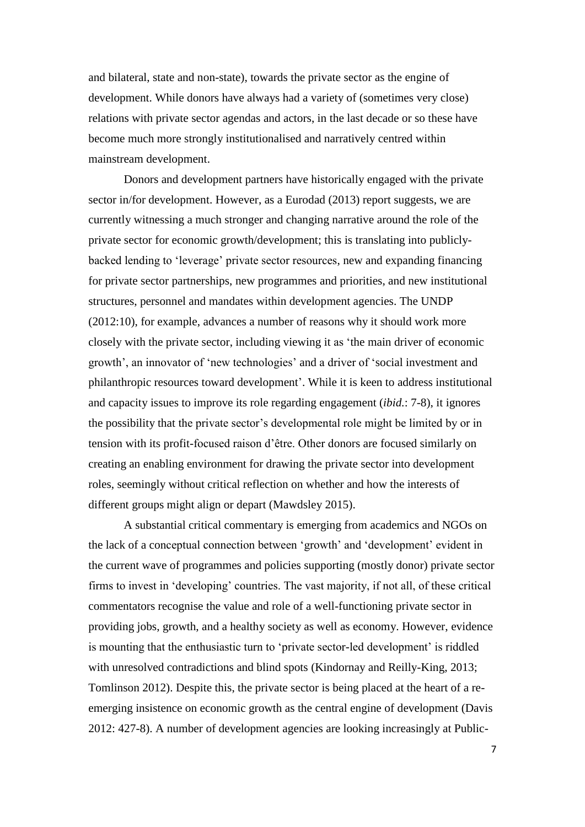and bilateral, state and non-state), towards the private sector as the engine of development. While donors have always had a variety of (sometimes very close) relations with private sector agendas and actors, in the last decade or so these have become much more strongly institutionalised and narratively centred within mainstream development.

Donors and development partners have historically engaged with the private sector in/for development. However, as a Eurodad (2013) report suggests, we are currently witnessing a much stronger and changing narrative around the role of the private sector for economic growth/development; this is translating into publiclybacked lending to 'leverage' private sector resources, new and expanding financing for private sector partnerships, new programmes and priorities, and new institutional structures, personnel and mandates within development agencies. The UNDP (2012:10), for example, advances a number of reasons why it should work more closely with the private sector, including viewing it as 'the main driver of economic growth', an innovator of 'new technologies' and a driver of 'social investment and philanthropic resources toward development'. While it is keen to address institutional and capacity issues to improve its role regarding engagement (*ibid.*: 7-8), it ignores the possibility that the private sector's developmental role might be limited by or in tension with its profit-focused raison d'être. Other donors are focused similarly on creating an enabling environment for drawing the private sector into development roles, seemingly without critical reflection on whether and how the interests of different groups might align or depart (Mawdsley 2015).

A substantial critical commentary is emerging from academics and NGOs on the lack of a conceptual connection between 'growth' and 'development' evident in the current wave of programmes and policies supporting (mostly donor) private sector firms to invest in 'developing' countries. The vast majority, if not all, of these critical commentators recognise the value and role of a well-functioning private sector in providing jobs, growth, and a healthy society as well as economy. However, evidence is mounting that the enthusiastic turn to 'private sector-led development' is riddled with unresolved contradictions and blind spots (Kindornay and Reilly-King, 2013; Tomlinson 2012). Despite this, the private sector is being placed at the heart of a reemerging insistence on economic growth as the central engine of development (Davis 2012: 427-8). A number of development agencies are looking increasingly at Public-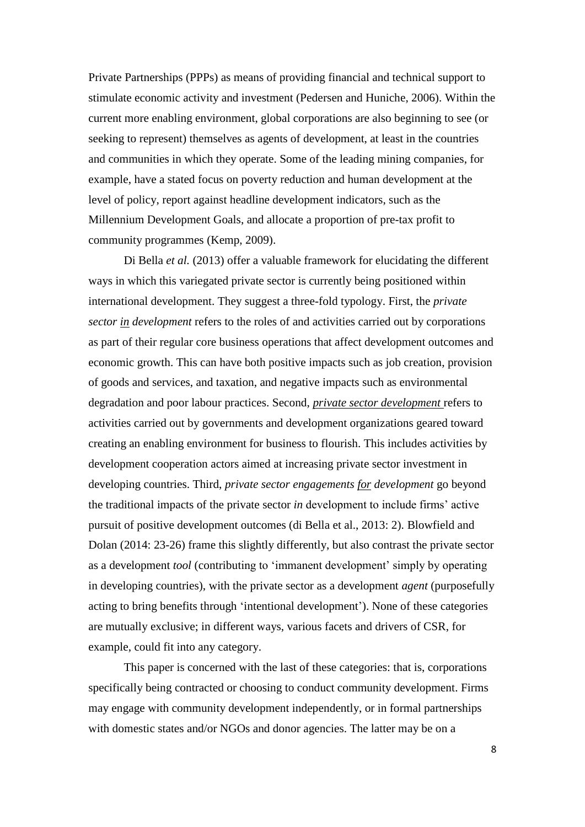Private Partnerships (PPPs) as means of providing financial and technical support to stimulate economic activity and investment (Pedersen and Huniche, 2006). Within the current more enabling environment, global corporations are also beginning to see (or seeking to represent) themselves as agents of development, at least in the countries and communities in which they operate. Some of the leading mining companies, for example, have a stated focus on poverty reduction and human development at the level of policy, report against headline development indicators, such as the Millennium Development Goals, and allocate a proportion of pre-tax profit to community programmes (Kemp, 2009).

Di Bella *et al.* (2013) offer a valuable framework for elucidating the different ways in which this variegated private sector is currently being positioned within international development. They suggest a three-fold typology. First, the *private sector in development* refers to the roles of and activities carried out by corporations as part of their regular core business operations that affect development outcomes and economic growth. This can have both positive impacts such as job creation, provision of goods and services, and taxation, and negative impacts such as environmental degradation and poor labour practices. Second, *private sector development* refers to activities carried out by governments and development organizations geared toward creating an enabling environment for business to flourish. This includes activities by development cooperation actors aimed at increasing private sector investment in developing countries. Third, *private sector engagements for development* go beyond the traditional impacts of the private sector *in* development to include firms' active pursuit of positive development outcomes (di Bella et al., 2013: 2). Blowfield and Dolan (2014: 23-26) frame this slightly differently, but also contrast the private sector as a development *tool* (contributing to 'immanent development' simply by operating in developing countries), with the private sector as a development *agent* (purposefully acting to bring benefits through 'intentional development'). None of these categories are mutually exclusive; in different ways, various facets and drivers of CSR, for example, could fit into any category.

This paper is concerned with the last of these categories: that is, corporations specifically being contracted or choosing to conduct community development. Firms may engage with community development independently, or in formal partnerships with domestic states and/or NGOs and donor agencies. The latter may be on a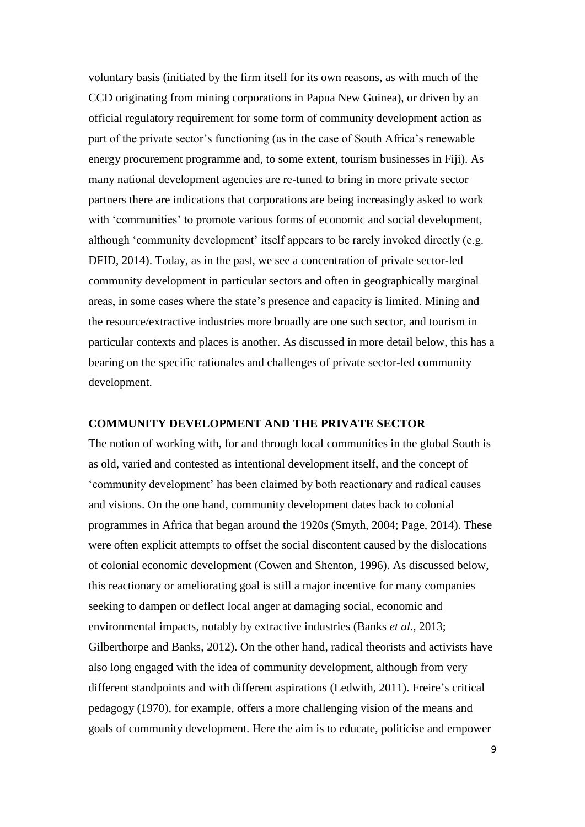voluntary basis (initiated by the firm itself for its own reasons, as with much of the CCD originating from mining corporations in Papua New Guinea), or driven by an official regulatory requirement for some form of community development action as part of the private sector's functioning (as in the case of South Africa's renewable energy procurement programme and, to some extent, tourism businesses in Fiji). As many national development agencies are re-tuned to bring in more private sector partners there are indications that corporations are being increasingly asked to work with 'communities' to promote various forms of economic and social development, although 'community development' itself appears to be rarely invoked directly (e.g. DFID, 2014). Today, as in the past, we see a concentration of private sector-led community development in particular sectors and often in geographically marginal areas, in some cases where the state's presence and capacity is limited. Mining and the resource/extractive industries more broadly are one such sector, and tourism in particular contexts and places is another. As discussed in more detail below, this has a bearing on the specific rationales and challenges of private sector-led community development.

# **COMMUNITY DEVELOPMENT AND THE PRIVATE SECTOR**

The notion of working with, for and through local communities in the global South is as old, varied and contested as intentional development itself, and the concept of 'community development' has been claimed by both reactionary and radical causes and visions. On the one hand, community development dates back to colonial programmes in Africa that began around the 1920s (Smyth, 2004; Page, 2014). These were often explicit attempts to offset the social discontent caused by the dislocations of colonial economic development (Cowen and Shenton, 1996). As discussed below, this reactionary or ameliorating goal is still a major incentive for many companies seeking to dampen or deflect local anger at damaging social, economic and environmental impacts, notably by extractive industries (Banks *et al.*, 2013; Gilberthorpe and Banks, 2012). On the other hand, radical theorists and activists have also long engaged with the idea of community development, although from very different standpoints and with different aspirations (Ledwith, 2011). Freire's critical pedagogy (1970), for example, offers a more challenging vision of the means and goals of community development. Here the aim is to educate, politicise and empower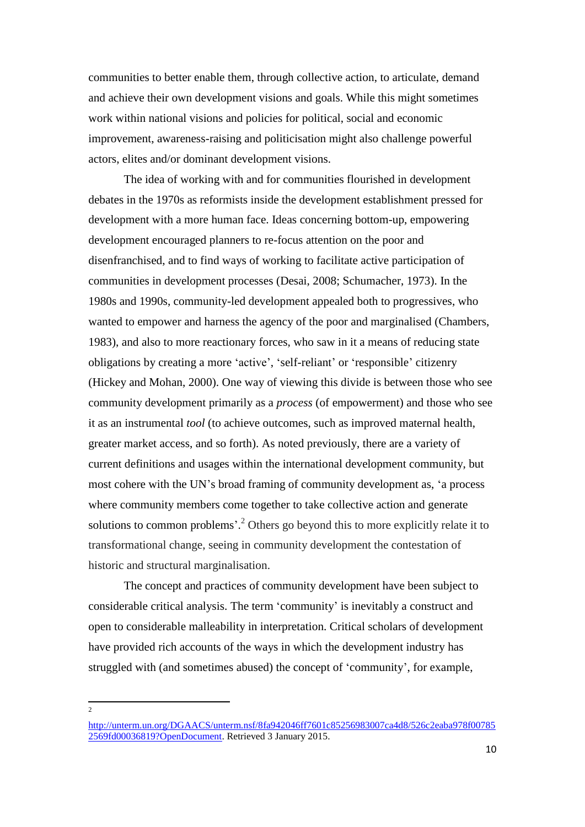communities to better enable them, through collective action, to articulate, demand and achieve their own development visions and goals. While this might sometimes work within national visions and policies for political, social and economic improvement, awareness-raising and politicisation might also challenge powerful actors, elites and/or dominant development visions.

The idea of working with and for communities flourished in development debates in the 1970s as reformists inside the development establishment pressed for development with a more human face. Ideas concerning bottom-up, empowering development encouraged planners to re-focus attention on the poor and disenfranchised, and to find ways of working to facilitate active participation of communities in development processes (Desai, 2008; Schumacher, 1973). In the 1980s and 1990s, community-led development appealed both to progressives, who wanted to empower and harness the agency of the poor and marginalised (Chambers, 1983), and also to more reactionary forces, who saw in it a means of reducing state obligations by creating a more 'active', 'self-reliant' or 'responsible' citizenry (Hickey and Mohan, 2000). One way of viewing this divide is between those who see community development primarily as a *process* (of empowerment) and those who see it as an instrumental *tool* (to achieve outcomes, such as improved maternal health, greater market access, and so forth). As noted previously, there are a variety of current definitions and usages within the international development community, but most cohere with the UN's broad framing of community development as, 'a process where community members come together to take collective action and generate solutions to common problems'.<sup>2</sup> Others go beyond this to more explicitly relate it to transformational change, seeing in community development the contestation of historic and structural marginalisation.

The concept and practices of community development have been subject to considerable critical analysis. The term 'community' is inevitably a construct and open to considerable malleability in interpretation. Critical scholars of development have provided rich accounts of the ways in which the development industry has struggled with (and sometimes abused) the concept of 'community', for example,

 $\frac{1}{2}$ 

[http://unterm.un.org/DGAACS/unterm.nsf/8fa942046ff7601c85256983007ca4d8/526c2eaba978f00785](http://unterm.un.org/DGAACS/unterm.nsf/8fa942046ff7601c85256983007ca4d8/526c2eaba978f007852569fd00036819?OpenDocument) [2569fd00036819?OpenDocument.](http://unterm.un.org/DGAACS/unterm.nsf/8fa942046ff7601c85256983007ca4d8/526c2eaba978f007852569fd00036819?OpenDocument) Retrieved 3 January 2015.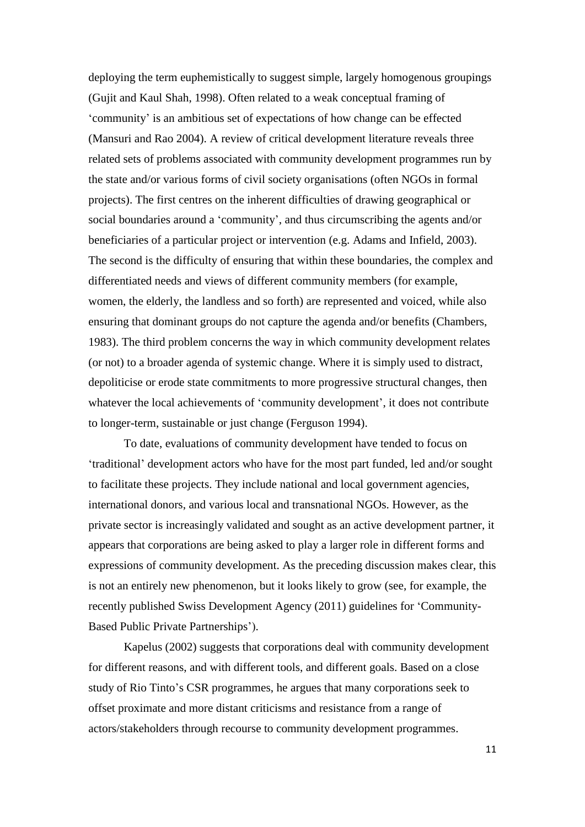deploying the term euphemistically to suggest simple, largely homogenous groupings (Gujit and Kaul Shah, 1998). Often related to a weak conceptual framing of 'community' is an ambitious set of expectations of how change can be effected (Mansuri and Rao 2004). A review of critical development literature reveals three related sets of problems associated with community development programmes run by the state and/or various forms of civil society organisations (often NGOs in formal projects). The first centres on the inherent difficulties of drawing geographical or social boundaries around a 'community', and thus circumscribing the agents and/or beneficiaries of a particular project or intervention (e.g. Adams and Infield, 2003). The second is the difficulty of ensuring that within these boundaries, the complex and differentiated needs and views of different community members (for example, women, the elderly, the landless and so forth) are represented and voiced, while also ensuring that dominant groups do not capture the agenda and/or benefits (Chambers, 1983). The third problem concerns the way in which community development relates (or not) to a broader agenda of systemic change. Where it is simply used to distract, depoliticise or erode state commitments to more progressive structural changes, then whatever the local achievements of 'community development', it does not contribute to longer-term, sustainable or just change (Ferguson 1994).

To date, evaluations of community development have tended to focus on 'traditional' development actors who have for the most part funded, led and/or sought to facilitate these projects. They include national and local government agencies, international donors, and various local and transnational NGOs. However, as the private sector is increasingly validated and sought as an active development partner, it appears that corporations are being asked to play a larger role in different forms and expressions of community development. As the preceding discussion makes clear, this is not an entirely new phenomenon, but it looks likely to grow (see, for example, the recently published Swiss Development Agency (2011) guidelines for 'Community-Based Public Private Partnerships').

Kapelus (2002) suggests that corporations deal with community development for different reasons, and with different tools, and different goals. Based on a close study of Rio Tinto's CSR programmes, he argues that many corporations seek to offset proximate and more distant criticisms and resistance from a range of actors/stakeholders through recourse to community development programmes.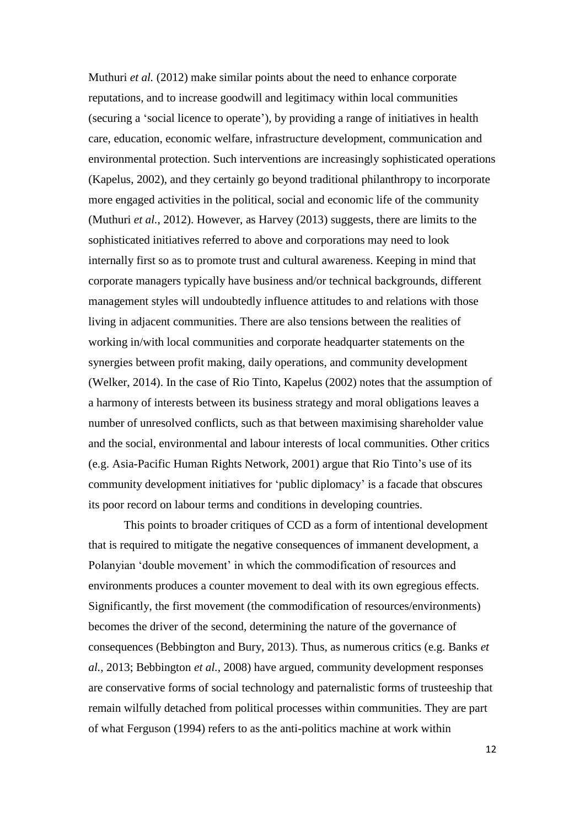Muthuri *et al.* (2012) make similar points about the need to enhance corporate reputations, and to increase goodwill and legitimacy within local communities (securing a 'social licence to operate'), by providing a range of initiatives in health care, education, economic welfare, infrastructure development, communication and environmental protection. Such interventions are increasingly sophisticated operations (Kapelus, 2002), and they certainly go beyond traditional philanthropy to incorporate more engaged activities in the political, social and economic life of the community (Muthuri *et al.*, 2012). However, as Harvey (2013) suggests, there are limits to the sophisticated initiatives referred to above and corporations may need to look internally first so as to promote trust and cultural awareness. Keeping in mind that corporate managers typically have business and/or technical backgrounds, different management styles will undoubtedly influence attitudes to and relations with those living in adjacent communities. There are also tensions between the realities of working in/with local communities and corporate headquarter statements on the synergies between profit making, daily operations, and community development (Welker, 2014). In the case of Rio Tinto, Kapelus (2002) notes that the assumption of a harmony of interests between its business strategy and moral obligations leaves a number of unresolved conflicts, such as that between maximising shareholder value and the social, environmental and labour interests of local communities. Other critics (e.g. Asia-Pacific Human Rights Network, 2001) argue that Rio Tinto's use of its community development initiatives for 'public diplomacy' is a facade that obscures its poor record on labour terms and conditions in developing countries.

This points to broader critiques of CCD as a form of intentional development that is required to mitigate the negative consequences of immanent development, a Polanyian 'double movement' in which the commodification of resources and environments produces a counter movement to deal with its own egregious effects. Significantly, the first movement (the commodification of resources/environments) becomes the driver of the second, determining the nature of the governance of consequences (Bebbington and Bury, 2013). Thus, as numerous critics (e.g. Banks *et al.*, 2013; Bebbington *et al.*, 2008) have argued, community development responses are conservative forms of social technology and paternalistic forms of trusteeship that remain wilfully detached from political processes within communities. They are part of what Ferguson (1994) refers to as the anti-politics machine at work within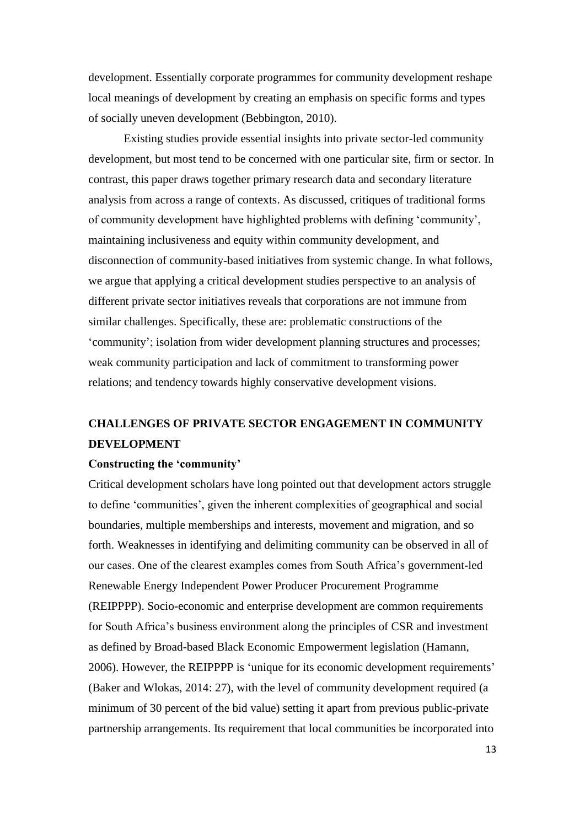development. Essentially corporate programmes for community development reshape local meanings of development by creating an emphasis on specific forms and types of socially uneven development (Bebbington, 2010).

Existing studies provide essential insights into private sector-led community development, but most tend to be concerned with one particular site, firm or sector. In contrast, this paper draws together primary research data and secondary literature analysis from across a range of contexts. As discussed, critiques of traditional forms of community development have highlighted problems with defining 'community', maintaining inclusiveness and equity within community development, and disconnection of community-based initiatives from systemic change. In what follows, we argue that applying a critical development studies perspective to an analysis of different private sector initiatives reveals that corporations are not immune from similar challenges. Specifically, these are: problematic constructions of the 'community'; isolation from wider development planning structures and processes; weak community participation and lack of commitment to transforming power relations; and tendency towards highly conservative development visions.

# **CHALLENGES OF PRIVATE SECTOR ENGAGEMENT IN COMMUNITY DEVELOPMENT**

## **Constructing the 'community'**

Critical development scholars have long pointed out that development actors struggle to define 'communities', given the inherent complexities of geographical and social boundaries, multiple memberships and interests, movement and migration, and so forth. Weaknesses in identifying and delimiting community can be observed in all of our cases. One of the clearest examples comes from South Africa's government-led Renewable Energy Independent Power Producer Procurement Programme (REIPPPP). Socio-economic and enterprise development are common requirements for South Africa's business environment along the principles of CSR and investment as defined by Broad-based Black Economic Empowerment legislation (Hamann, 2006). However, the REIPPPP is 'unique for its economic development requirements' (Baker and Wlokas, 2014: 27), with the level of community development required (a minimum of 30 percent of the bid value) setting it apart from previous public-private partnership arrangements. Its requirement that local communities be incorporated into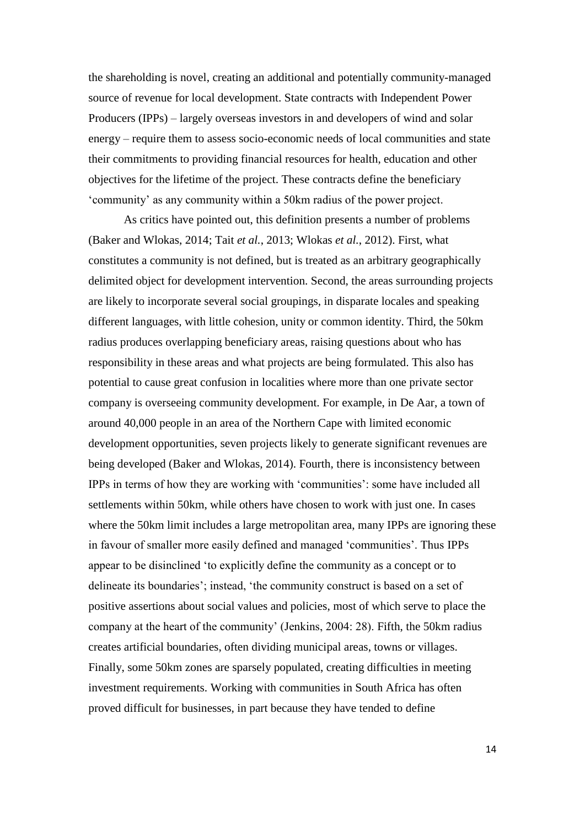the shareholding is novel, creating an additional and potentially community-managed source of revenue for local development. State contracts with Independent Power Producers (IPPs) – largely overseas investors in and developers of wind and solar energy – require them to assess socio-economic needs of local communities and state their commitments to providing financial resources for health, education and other objectives for the lifetime of the project. These contracts define the beneficiary 'community' as any community within a 50km radius of the power project.

As critics have pointed out, this definition presents a number of problems (Baker and Wlokas, 2014; Tait *et al.*, 2013; Wlokas *et al.*, 2012). First, what constitutes a community is not defined, but is treated as an arbitrary geographically delimited object for development intervention. Second, the areas surrounding projects are likely to incorporate several social groupings, in disparate locales and speaking different languages, with little cohesion, unity or common identity. Third, the 50km radius produces overlapping beneficiary areas, raising questions about who has responsibility in these areas and what projects are being formulated. This also has potential to cause great confusion in localities where more than one private sector company is overseeing community development. For example, in De Aar, a town of around 40,000 people in an area of the Northern Cape with limited economic development opportunities, seven projects likely to generate significant revenues are being developed (Baker and Wlokas, 2014). Fourth, there is inconsistency between IPPs in terms of how they are working with 'communities': some have included all settlements within 50km, while others have chosen to work with just one. In cases where the 50km limit includes a large metropolitan area, many IPPs are ignoring these in favour of smaller more easily defined and managed 'communities'. Thus IPPs appear to be disinclined 'to explicitly define the community as a concept or to delineate its boundaries'; instead, 'the community construct is based on a set of positive assertions about social values and policies, most of which serve to place the company at the heart of the community' (Jenkins, 2004: 28). Fifth, the 50km radius creates artificial boundaries, often dividing municipal areas, towns or villages. Finally, some 50km zones are sparsely populated, creating difficulties in meeting investment requirements. Working with communities in South Africa has often proved difficult for businesses, in part because they have tended to define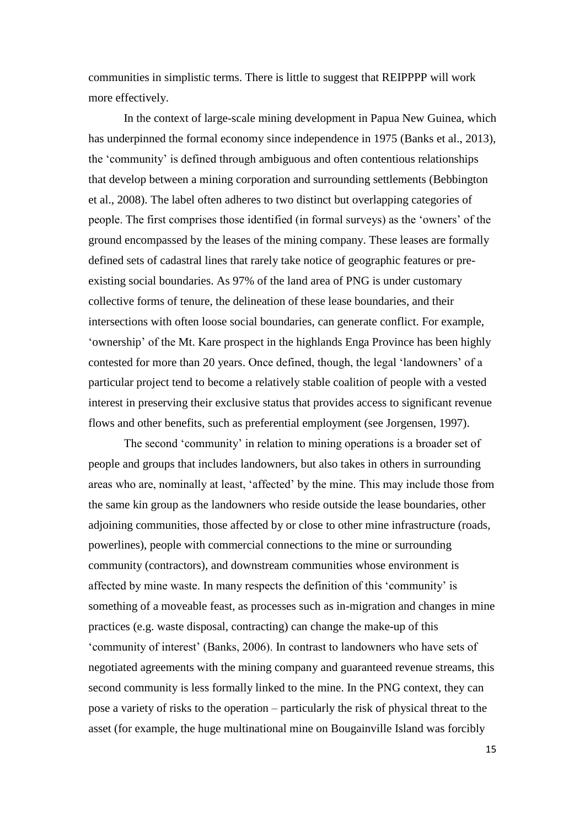communities in simplistic terms. There is little to suggest that REIPPPP will work more effectively.

In the context of large-scale mining development in Papua New Guinea, which has underpinned the formal economy since independence in 1975 (Banks et al., 2013), the 'community' is defined through ambiguous and often contentious relationships that develop between a mining corporation and surrounding settlements (Bebbington et al., 2008). The label often adheres to two distinct but overlapping categories of people. The first comprises those identified (in formal surveys) as the 'owners' of the ground encompassed by the leases of the mining company. These leases are formally defined sets of cadastral lines that rarely take notice of geographic features or preexisting social boundaries. As 97% of the land area of PNG is under customary collective forms of tenure, the delineation of these lease boundaries, and their intersections with often loose social boundaries, can generate conflict. For example, 'ownership' of the Mt. Kare prospect in the highlands Enga Province has been highly contested for more than 20 years. Once defined, though, the legal 'landowners' of a particular project tend to become a relatively stable coalition of people with a vested interest in preserving their exclusive status that provides access to significant revenue flows and other benefits, such as preferential employment (see Jorgensen, 1997).

The second 'community' in relation to mining operations is a broader set of people and groups that includes landowners, but also takes in others in surrounding areas who are, nominally at least, 'affected' by the mine. This may include those from the same kin group as the landowners who reside outside the lease boundaries, other adjoining communities, those affected by or close to other mine infrastructure (roads, powerlines), people with commercial connections to the mine or surrounding community (contractors), and downstream communities whose environment is affected by mine waste. In many respects the definition of this 'community' is something of a moveable feast, as processes such as in-migration and changes in mine practices (e.g. waste disposal, contracting) can change the make-up of this 'community of interest' (Banks, 2006). In contrast to landowners who have sets of negotiated agreements with the mining company and guaranteed revenue streams, this second community is less formally linked to the mine. In the PNG context, they can pose a variety of risks to the operation – particularly the risk of physical threat to the asset (for example, the huge multinational mine on Bougainville Island was forcibly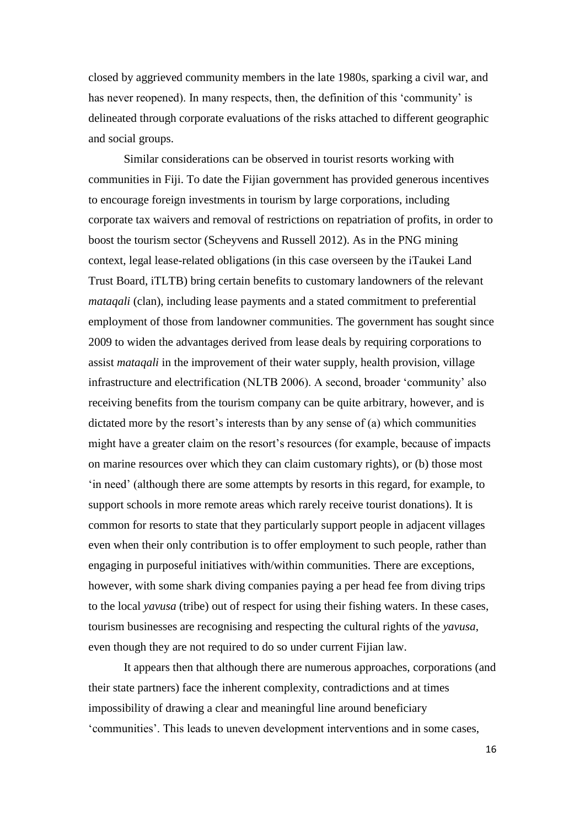closed by aggrieved community members in the late 1980s, sparking a civil war, and has never reopened). In many respects, then, the definition of this 'community' is delineated through corporate evaluations of the risks attached to different geographic and social groups.

Similar considerations can be observed in tourist resorts working with communities in Fiji. To date the Fijian government has provided generous incentives to encourage foreign investments in tourism by large corporations, including corporate tax waivers and removal of restrictions on repatriation of profits, in order to boost the tourism sector (Scheyvens and Russell 2012). As in the PNG mining context, legal lease-related obligations (in this case overseen by the iTaukei Land Trust Board, iTLTB) bring certain benefits to customary landowners of the relevant *mataqali* (clan), including lease payments and a stated commitment to preferential employment of those from landowner communities. The government has sought since 2009 to widen the advantages derived from lease deals by requiring corporations to assist *mataqali* in the improvement of their water supply, health provision, village infrastructure and electrification (NLTB 2006). A second, broader 'community' also receiving benefits from the tourism company can be quite arbitrary, however, and is dictated more by the resort's interests than by any sense of (a) which communities might have a greater claim on the resort's resources (for example, because of impacts on marine resources over which they can claim customary rights), or (b) those most 'in need' (although there are some attempts by resorts in this regard, for example, to support schools in more remote areas which rarely receive tourist donations). It is common for resorts to state that they particularly support people in adjacent villages even when their only contribution is to offer employment to such people, rather than engaging in purposeful initiatives with/within communities. There are exceptions, however, with some shark diving companies paying a per head fee from diving trips to the local *yavusa* (tribe) out of respect for using their fishing waters. In these cases, tourism businesses are recognising and respecting the cultural rights of the *yavusa*, even though they are not required to do so under current Fijian law.

It appears then that although there are numerous approaches, corporations (and their state partners) face the inherent complexity, contradictions and at times impossibility of drawing a clear and meaningful line around beneficiary 'communities'. This leads to uneven development interventions and in some cases,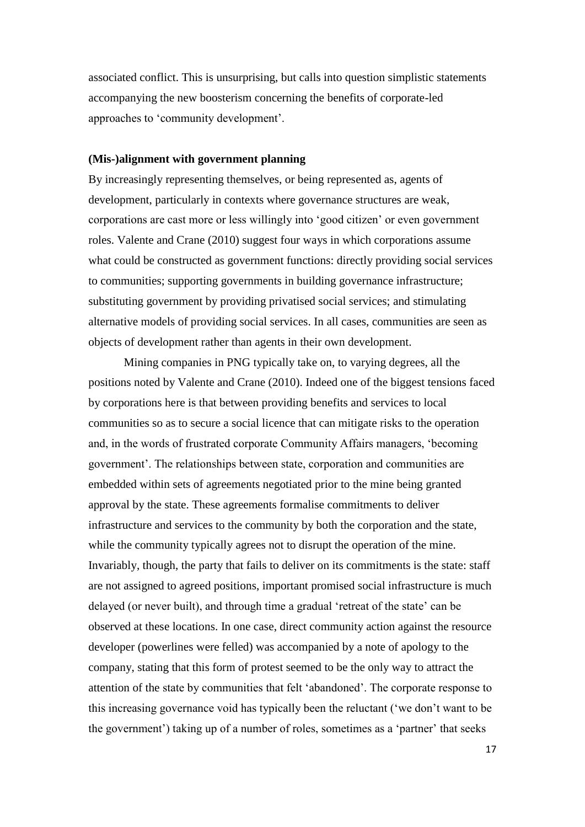associated conflict. This is unsurprising, but calls into question simplistic statements accompanying the new boosterism concerning the benefits of corporate-led approaches to 'community development'.

## **(Mis-)alignment with government planning**

By increasingly representing themselves, or being represented as, agents of development, particularly in contexts where governance structures are weak, corporations are cast more or less willingly into 'good citizen' or even government roles. Valente and Crane (2010) suggest four ways in which corporations assume what could be constructed as government functions: directly providing social services to communities; supporting governments in building governance infrastructure; substituting government by providing privatised social services; and stimulating alternative models of providing social services. In all cases, communities are seen as objects of development rather than agents in their own development.

Mining companies in PNG typically take on, to varying degrees, all the positions noted by Valente and Crane (2010). Indeed one of the biggest tensions faced by corporations here is that between providing benefits and services to local communities so as to secure a social licence that can mitigate risks to the operation and, in the words of frustrated corporate Community Affairs managers, 'becoming government'. The relationships between state, corporation and communities are embedded within sets of agreements negotiated prior to the mine being granted approval by the state. These agreements formalise commitments to deliver infrastructure and services to the community by both the corporation and the state, while the community typically agrees not to disrupt the operation of the mine. Invariably, though, the party that fails to deliver on its commitments is the state: staff are not assigned to agreed positions, important promised social infrastructure is much delayed (or never built), and through time a gradual 'retreat of the state' can be observed at these locations. In one case, direct community action against the resource developer (powerlines were felled) was accompanied by a note of apology to the company, stating that this form of protest seemed to be the only way to attract the attention of the state by communities that felt 'abandoned'. The corporate response to this increasing governance void has typically been the reluctant ('we don't want to be the government') taking up of a number of roles, sometimes as a 'partner' that seeks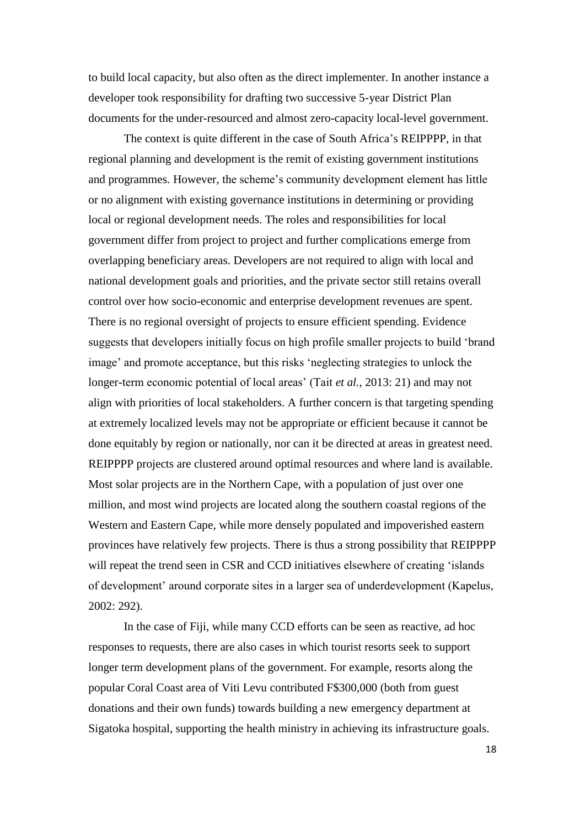to build local capacity, but also often as the direct implementer. In another instance a developer took responsibility for drafting two successive 5-year District Plan documents for the under-resourced and almost zero-capacity local-level government.

The context is quite different in the case of South Africa's REIPPPP, in that regional planning and development is the remit of existing government institutions and programmes. However, the scheme's community development element has little or no alignment with existing governance institutions in determining or providing local or regional development needs. The roles and responsibilities for local government differ from project to project and further complications emerge from overlapping beneficiary areas. Developers are not required to align with local and national development goals and priorities, and the private sector still retains overall control over how socio-economic and enterprise development revenues are spent. There is no regional oversight of projects to ensure efficient spending. Evidence suggests that developers initially focus on high profile smaller projects to build 'brand image' and promote acceptance, but this risks 'neglecting strategies to unlock the longer-term economic potential of local areas' (Tait *et al.*, 2013: 21) and may not align with priorities of local stakeholders. A further concern is that targeting spending at extremely localized levels may not be appropriate or efficient because it cannot be done equitably by region or nationally, nor can it be directed at areas in greatest need. REIPPPP projects are clustered around optimal resources and where land is available. Most solar projects are in the Northern Cape, with a population of just over one million, and most wind projects are located along the southern coastal regions of the Western and Eastern Cape, while more densely populated and impoverished eastern provinces have relatively few projects. There is thus a strong possibility that REIPPPP will repeat the trend seen in CSR and CCD initiatives elsewhere of creating 'islands of development' around corporate sites in a larger sea of underdevelopment (Kapelus, 2002: 292).

In the case of Fiji, while many CCD efforts can be seen as reactive, ad hoc responses to requests, there are also cases in which tourist resorts seek to support longer term development plans of the government. For example, resorts along the popular Coral Coast area of Viti Levu contributed F\$300,000 (both from guest donations and their own funds) towards building a new emergency department at Sigatoka hospital, supporting the health ministry in achieving its infrastructure goals.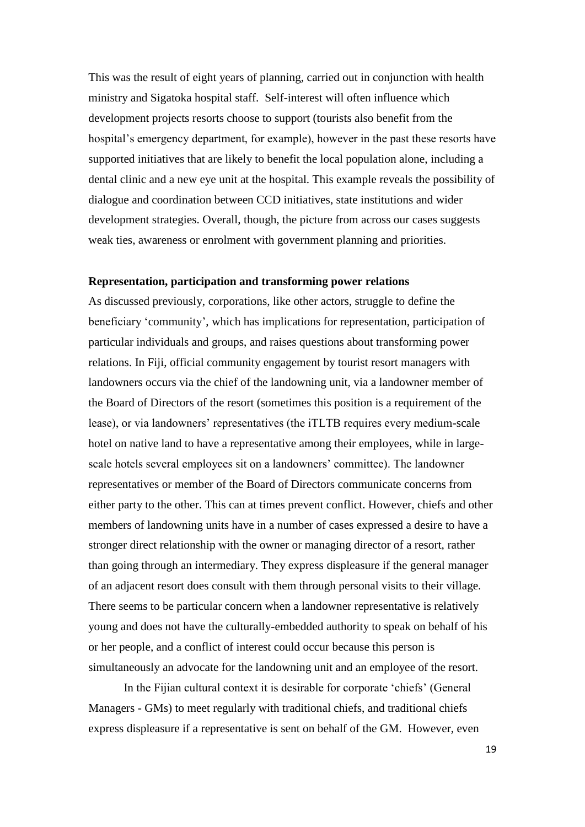This was the result of eight years of planning, carried out in conjunction with health ministry and Sigatoka hospital staff. Self-interest will often influence which development projects resorts choose to support (tourists also benefit from the hospital's emergency department, for example), however in the past these resorts have supported initiatives that are likely to benefit the local population alone, including a dental clinic and a new eye unit at the hospital. This example reveals the possibility of dialogue and coordination between CCD initiatives, state institutions and wider development strategies. Overall, though, the picture from across our cases suggests weak ties, awareness or enrolment with government planning and priorities.

## **Representation, participation and transforming power relations**

As discussed previously, corporations, like other actors, struggle to define the beneficiary 'community', which has implications for representation, participation of particular individuals and groups, and raises questions about transforming power relations. In Fiji, official community engagement by tourist resort managers with landowners occurs via the chief of the landowning unit, via a landowner member of the Board of Directors of the resort (sometimes this position is a requirement of the lease), or via landowners' representatives (the iTLTB requires every medium-scale hotel on native land to have a representative among their employees, while in largescale hotels several employees sit on a landowners' committee). The landowner representatives or member of the Board of Directors communicate concerns from either party to the other. This can at times prevent conflict. However, chiefs and other members of landowning units have in a number of cases expressed a desire to have a stronger direct relationship with the owner or managing director of a resort, rather than going through an intermediary. They express displeasure if the general manager of an adjacent resort does consult with them through personal visits to their village. There seems to be particular concern when a landowner representative is relatively young and does not have the culturally-embedded authority to speak on behalf of his or her people, and a conflict of interest could occur because this person is simultaneously an advocate for the landowning unit and an employee of the resort.

In the Fijian cultural context it is desirable for corporate 'chiefs' (General Managers - GMs) to meet regularly with traditional chiefs, and traditional chiefs express displeasure if a representative is sent on behalf of the GM. However, even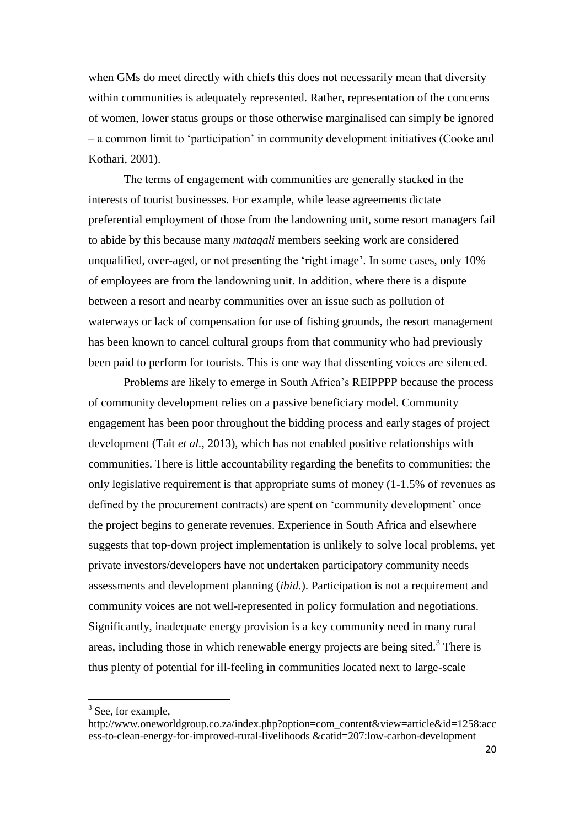when GMs do meet directly with chiefs this does not necessarily mean that diversity within communities is adequately represented. Rather, representation of the concerns of women, lower status groups or those otherwise marginalised can simply be ignored – a common limit to 'participation' in community development initiatives (Cooke and Kothari, 2001).

The terms of engagement with communities are generally stacked in the interests of tourist businesses. For example, while lease agreements dictate preferential employment of those from the landowning unit, some resort managers fail to abide by this because many *mataqali* members seeking work are considered unqualified, over-aged, or not presenting the 'right image'. In some cases, only 10% of employees are from the landowning unit. In addition, where there is a dispute between a resort and nearby communities over an issue such as pollution of waterways or lack of compensation for use of fishing grounds, the resort management has been known to cancel cultural groups from that community who had previously been paid to perform for tourists. This is one way that dissenting voices are silenced.

Problems are likely to emerge in South Africa's REIPPPP because the process of community development relies on a passive beneficiary model. Community engagement has been poor throughout the bidding process and early stages of project development (Tait *et al.*, 2013), which has not enabled positive relationships with communities. There is little accountability regarding the benefits to communities: the only legislative requirement is that appropriate sums of money (1-1.5% of revenues as defined by the procurement contracts) are spent on 'community development' once the project begins to generate revenues. Experience in South Africa and elsewhere suggests that top-down project implementation is unlikely to solve local problems, yet private investors/developers have not undertaken participatory community needs assessments and development planning (*ibid.*). Participation is not a requirement and community voices are not well-represented in policy formulation and negotiations. Significantly, inadequate energy provision is a key community need in many rural areas, including those in which renewable energy projects are being sited.<sup>3</sup> There is thus plenty of potential for ill-feeling in communities located next to large-scale

<sup>&</sup>lt;sup>3</sup> See, for example,

http://www.oneworldgroup.co.za/index.php?option=com\_content&view=article&id=1258:acc ess-to-clean-energy-for-improved-rural-livelihoods &catid=207:low-carbon-development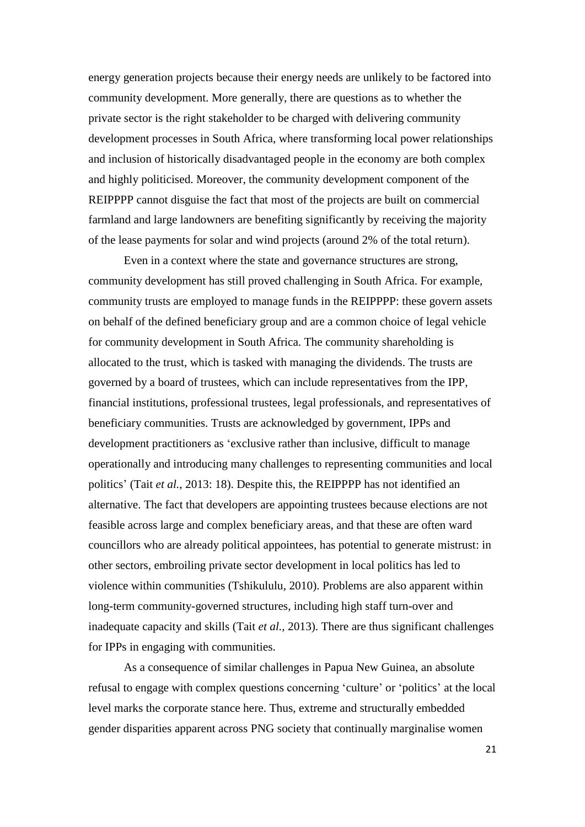energy generation projects because their energy needs are unlikely to be factored into community development. More generally, there are questions as to whether the private sector is the right stakeholder to be charged with delivering community development processes in South Africa, where transforming local power relationships and inclusion of historically disadvantaged people in the economy are both complex and highly politicised. Moreover, the community development component of the REIPPPP cannot disguise the fact that most of the projects are built on commercial farmland and large landowners are benefiting significantly by receiving the majority of the lease payments for solar and wind projects (around 2% of the total return).

Even in a context where the state and governance structures are strong, community development has still proved challenging in South Africa. For example, community trusts are employed to manage funds in the REIPPPP: these govern assets on behalf of the defined beneficiary group and are a common choice of legal vehicle for community development in South Africa. The community shareholding is allocated to the trust, which is tasked with managing the dividends. The trusts are governed by a board of trustees, which can include representatives from the IPP, financial institutions, professional trustees, legal professionals, and representatives of beneficiary communities. Trusts are acknowledged by government, IPPs and development practitioners as 'exclusive rather than inclusive, difficult to manage operationally and introducing many challenges to representing communities and local politics' (Tait *et al.*, 2013: 18). Despite this, the REIPPPP has not identified an alternative. The fact that developers are appointing trustees because elections are not feasible across large and complex beneficiary areas, and that these are often ward councillors who are already political appointees, has potential to generate mistrust: in other sectors, embroiling private sector development in local politics has led to violence within communities (Tshikululu, 2010). Problems are also apparent within long-term community-governed structures, including high staff turn-over and inadequate capacity and skills (Tait *et al.*, 2013). There are thus significant challenges for IPPs in engaging with communities.

As a consequence of similar challenges in Papua New Guinea, an absolute refusal to engage with complex questions concerning 'culture' or 'politics' at the local level marks the corporate stance here. Thus, extreme and structurally embedded gender disparities apparent across PNG society that continually marginalise women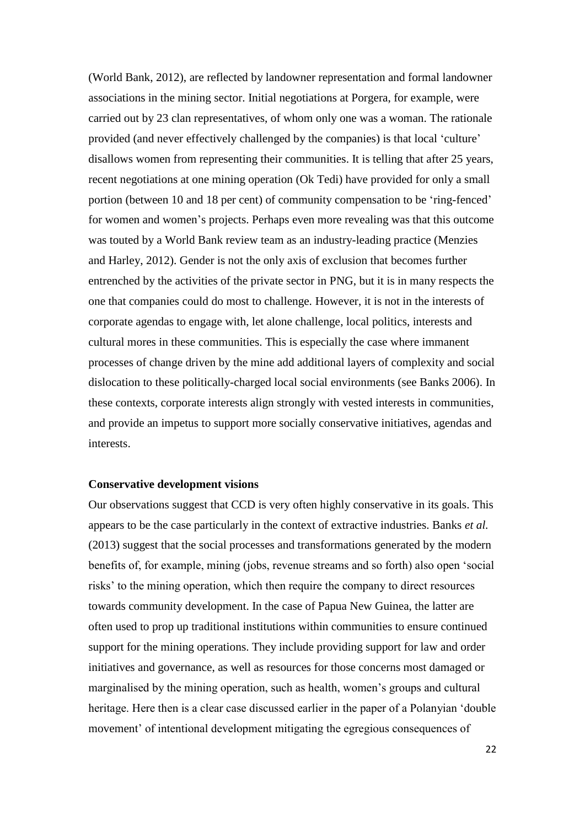(World Bank, 2012), are reflected by landowner representation and formal landowner associations in the mining sector. Initial negotiations at Porgera, for example, were carried out by 23 clan representatives, of whom only one was a woman. The rationale provided (and never effectively challenged by the companies) is that local 'culture' disallows women from representing their communities. It is telling that after 25 years, recent negotiations at one mining operation (Ok Tedi) have provided for only a small portion (between 10 and 18 per cent) of community compensation to be 'ring-fenced' for women and women's projects. Perhaps even more revealing was that this outcome was touted by a World Bank review team as an industry-leading practice (Menzies and Harley, 2012). Gender is not the only axis of exclusion that becomes further entrenched by the activities of the private sector in PNG, but it is in many respects the one that companies could do most to challenge. However, it is not in the interests of corporate agendas to engage with, let alone challenge, local politics, interests and cultural mores in these communities. This is especially the case where immanent processes of change driven by the mine add additional layers of complexity and social dislocation to these politically-charged local social environments (see Banks 2006). In these contexts, corporate interests align strongly with vested interests in communities, and provide an impetus to support more socially conservative initiatives, agendas and interests.

## **Conservative development visions**

Our observations suggest that CCD is very often highly conservative in its goals. This appears to be the case particularly in the context of extractive industries. Banks *et al.* (2013) suggest that the social processes and transformations generated by the modern benefits of, for example, mining (jobs, revenue streams and so forth) also open 'social risks' to the mining operation, which then require the company to direct resources towards community development. In the case of Papua New Guinea, the latter are often used to prop up traditional institutions within communities to ensure continued support for the mining operations. They include providing support for law and order initiatives and governance, as well as resources for those concerns most damaged or marginalised by the mining operation, such as health, women's groups and cultural heritage. Here then is a clear case discussed earlier in the paper of a Polanyian 'double movement' of intentional development mitigating the egregious consequences of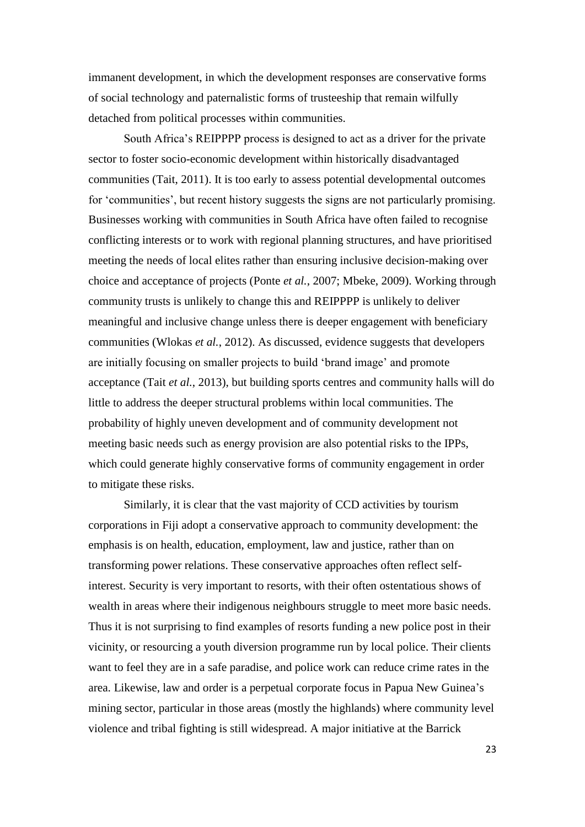immanent development, in which the development responses are conservative forms of social technology and paternalistic forms of trusteeship that remain wilfully detached from political processes within communities.

South Africa's REIPPPP process is designed to act as a driver for the private sector to foster socio-economic development within historically disadvantaged communities (Tait, 2011). It is too early to assess potential developmental outcomes for 'communities', but recent history suggests the signs are not particularly promising. Businesses working with communities in South Africa have often failed to recognise conflicting interests or to work with regional planning structures, and have prioritised meeting the needs of local elites rather than ensuring inclusive decision-making over choice and acceptance of projects (Ponte *et al.*, 2007; Mbeke, 2009). Working through community trusts is unlikely to change this and REIPPPP is unlikely to deliver meaningful and inclusive change unless there is deeper engagement with beneficiary communities (Wlokas *et al.*, 2012). As discussed, evidence suggests that developers are initially focusing on smaller projects to build 'brand image' and promote acceptance (Tait *et al.*, 2013), but building sports centres and community halls will do little to address the deeper structural problems within local communities. The probability of highly uneven development and of community development not meeting basic needs such as energy provision are also potential risks to the IPPs, which could generate highly conservative forms of community engagement in order to mitigate these risks.

Similarly, it is clear that the vast majority of CCD activities by tourism corporations in Fiji adopt a conservative approach to community development: the emphasis is on health, education, employment, law and justice, rather than on transforming power relations. These conservative approaches often reflect selfinterest. Security is very important to resorts, with their often ostentatious shows of wealth in areas where their indigenous neighbours struggle to meet more basic needs. Thus it is not surprising to find examples of resorts funding a new police post in their vicinity, or resourcing a youth diversion programme run by local police. Their clients want to feel they are in a safe paradise, and police work can reduce crime rates in the area. Likewise, law and order is a perpetual corporate focus in Papua New Guinea's mining sector, particular in those areas (mostly the highlands) where community level violence and tribal fighting is still widespread. A major initiative at the Barrick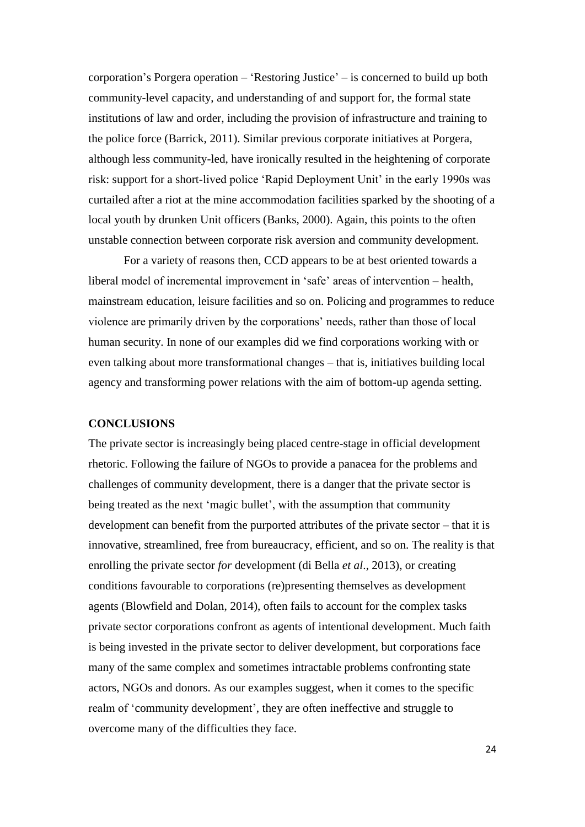corporation's Porgera operation – 'Restoring Justice' – is concerned to build up both community-level capacity, and understanding of and support for, the formal state institutions of law and order, including the provision of infrastructure and training to the police force (Barrick, 2011). Similar previous corporate initiatives at Porgera, although less community-led, have ironically resulted in the heightening of corporate risk: support for a short-lived police 'Rapid Deployment Unit' in the early 1990s was curtailed after a riot at the mine accommodation facilities sparked by the shooting of a local youth by drunken Unit officers (Banks, 2000). Again, this points to the often unstable connection between corporate risk aversion and community development.

For a variety of reasons then, CCD appears to be at best oriented towards a liberal model of incremental improvement in 'safe' areas of intervention – health, mainstream education, leisure facilities and so on. Policing and programmes to reduce violence are primarily driven by the corporations' needs, rather than those of local human security. In none of our examples did we find corporations working with or even talking about more transformational changes – that is, initiatives building local agency and transforming power relations with the aim of bottom-up agenda setting.

#### **CONCLUSIONS**

The private sector is increasingly being placed centre-stage in official development rhetoric. Following the failure of NGOs to provide a panacea for the problems and challenges of community development, there is a danger that the private sector is being treated as the next 'magic bullet', with the assumption that community development can benefit from the purported attributes of the private sector – that it is innovative, streamlined, free from bureaucracy, efficient, and so on. The reality is that enrolling the private sector *for* development (di Bella *et al*., 2013), or creating conditions favourable to corporations (re)presenting themselves as development agents (Blowfield and Dolan, 2014), often fails to account for the complex tasks private sector corporations confront as agents of intentional development. Much faith is being invested in the private sector to deliver development, but corporations face many of the same complex and sometimes intractable problems confronting state actors, NGOs and donors. As our examples suggest, when it comes to the specific realm of 'community development', they are often ineffective and struggle to overcome many of the difficulties they face.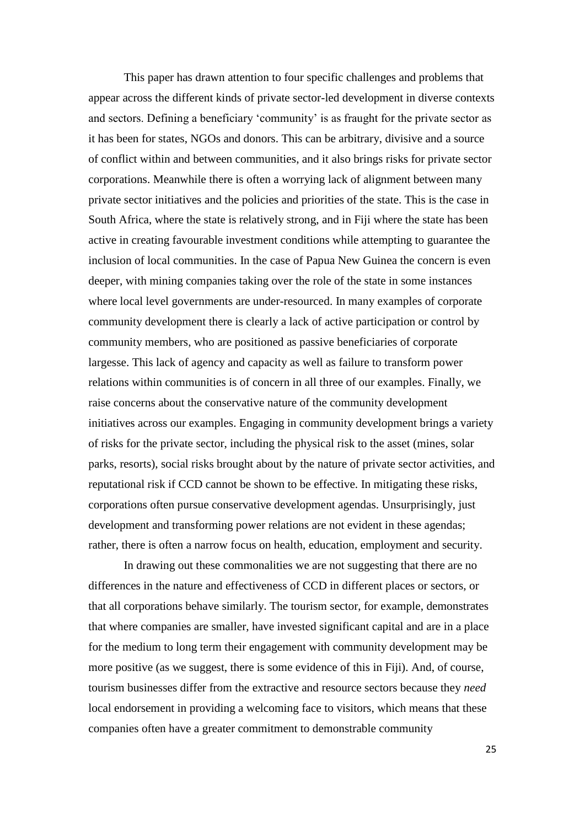This paper has drawn attention to four specific challenges and problems that appear across the different kinds of private sector-led development in diverse contexts and sectors. Defining a beneficiary 'community' is as fraught for the private sector as it has been for states, NGOs and donors. This can be arbitrary, divisive and a source of conflict within and between communities, and it also brings risks for private sector corporations. Meanwhile there is often a worrying lack of alignment between many private sector initiatives and the policies and priorities of the state. This is the case in South Africa, where the state is relatively strong, and in Fiji where the state has been active in creating favourable investment conditions while attempting to guarantee the inclusion of local communities. In the case of Papua New Guinea the concern is even deeper, with mining companies taking over the role of the state in some instances where local level governments are under-resourced. In many examples of corporate community development there is clearly a lack of active participation or control by community members, who are positioned as passive beneficiaries of corporate largesse. This lack of agency and capacity as well as failure to transform power relations within communities is of concern in all three of our examples. Finally, we raise concerns about the conservative nature of the community development initiatives across our examples. Engaging in community development brings a variety of risks for the private sector, including the physical risk to the asset (mines, solar parks, resorts), social risks brought about by the nature of private sector activities, and reputational risk if CCD cannot be shown to be effective. In mitigating these risks, corporations often pursue conservative development agendas. Unsurprisingly, just development and transforming power relations are not evident in these agendas; rather, there is often a narrow focus on health, education, employment and security.

In drawing out these commonalities we are not suggesting that there are no differences in the nature and effectiveness of CCD in different places or sectors, or that all corporations behave similarly. The tourism sector, for example, demonstrates that where companies are smaller, have invested significant capital and are in a place for the medium to long term their engagement with community development may be more positive (as we suggest, there is some evidence of this in Fiji). And, of course, tourism businesses differ from the extractive and resource sectors because they *need*  local endorsement in providing a welcoming face to visitors, which means that these companies often have a greater commitment to demonstrable community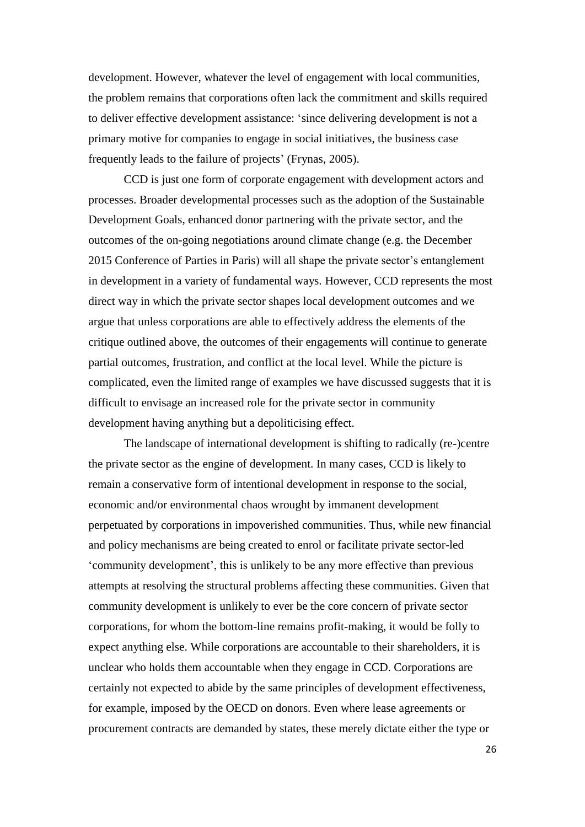development. However, whatever the level of engagement with local communities, the problem remains that corporations often lack the commitment and skills required to deliver effective development assistance: 'since delivering development is not a primary motive for companies to engage in social initiatives, the business case frequently leads to the failure of projects' (Frynas, 2005).

CCD is just one form of corporate engagement with development actors and processes. Broader developmental processes such as the adoption of the Sustainable Development Goals, enhanced donor partnering with the private sector, and the outcomes of the on-going negotiations around climate change (e.g. the December 2015 Conference of Parties in Paris) will all shape the private sector's entanglement in development in a variety of fundamental ways. However, CCD represents the most direct way in which the private sector shapes local development outcomes and we argue that unless corporations are able to effectively address the elements of the critique outlined above, the outcomes of their engagements will continue to generate partial outcomes, frustration, and conflict at the local level. While the picture is complicated, even the limited range of examples we have discussed suggests that it is difficult to envisage an increased role for the private sector in community development having anything but a depoliticising effect.

The landscape of international development is shifting to radically (re-)centre the private sector as the engine of development. In many cases, CCD is likely to remain a conservative form of intentional development in response to the social, economic and/or environmental chaos wrought by immanent development perpetuated by corporations in impoverished communities. Thus, while new financial and policy mechanisms are being created to enrol or facilitate private sector-led 'community development', this is unlikely to be any more effective than previous attempts at resolving the structural problems affecting these communities. Given that community development is unlikely to ever be the core concern of private sector corporations, for whom the bottom-line remains profit-making, it would be folly to expect anything else. While corporations are accountable to their shareholders, it is unclear who holds them accountable when they engage in CCD. Corporations are certainly not expected to abide by the same principles of development effectiveness, for example, imposed by the OECD on donors. Even where lease agreements or procurement contracts are demanded by states, these merely dictate either the type or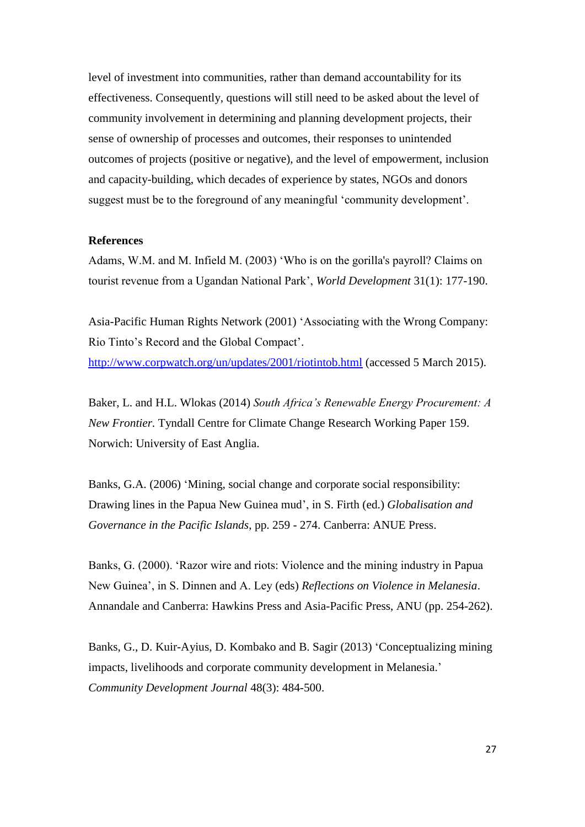level of investment into communities, rather than demand accountability for its effectiveness. Consequently, questions will still need to be asked about the level of community involvement in determining and planning development projects, their sense of ownership of processes and outcomes, their responses to unintended outcomes of projects (positive or negative), and the level of empowerment, inclusion and capacity-building, which decades of experience by states, NGOs and donors suggest must be to the foreground of any meaningful 'community development'.

### **References**

Adams, W.M. and M. Infield M. (2003) 'Who is on the gorilla's payroll? Claims on tourist revenue from a Ugandan National Park', *World Development* 31(1): 177-190.

Asia-Pacific Human Rights Network (2001) 'Associating with the Wrong Company: Rio Tinto's Record and the Global Compact'. <http://www.corpwatch.org/un/updates/2001/riotintob.html> (accessed 5 March 2015).

Baker, L. and H.L. Wlokas (2014) *South Africa's Renewable Energy Procurement: A New Frontier.* Tyndall Centre for Climate Change Research Working Paper 159. Norwich: University of East Anglia.

Banks, G.A. (2006) 'Mining, social change and corporate social responsibility: Drawing lines in the Papua New Guinea mud', in S. Firth (ed.) *Globalisation and Governance in the Pacific Islands*, pp. 259 - 274. Canberra: ANUE Press.

Banks, G. (2000). 'Razor wire and riots: Violence and the mining industry in Papua New Guinea', in S. Dinnen and A. Ley (eds) *Reflections on Violence in Melanesia*. Annandale and Canberra: Hawkins Press and Asia-Pacific Press, ANU (pp. 254-262).

Banks, G., D. Kuir-Ayius, D. Kombako and B. Sagir (2013) 'Conceptualizing mining impacts, livelihoods and corporate community development in Melanesia.' *Community Development Journal* 48(3): 484-500.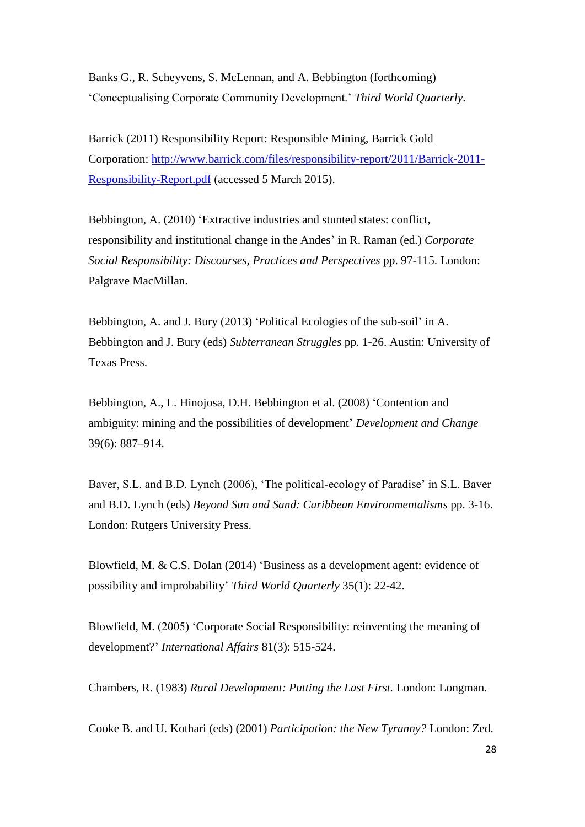Banks G., R. Scheyvens, S. McLennan, and A. Bebbington (forthcoming) 'Conceptualising Corporate Community Development.' *Third World Quarterly*.

Barrick (2011) Responsibility Report: Responsible Mining, Barrick Gold Corporation: [http://www.barrick.com/files/responsibility-report/2011/Barrick-2011-](http://www.barrick.com/files/responsibility-report/2011/Barrick-2011-Responsibility-Report.pdf) [Responsibility-Report.pdf](http://www.barrick.com/files/responsibility-report/2011/Barrick-2011-Responsibility-Report.pdf) (accessed 5 March 2015).

Bebbington, A. (2010) 'Extractive industries and stunted states: conflict, responsibility and institutional change in the Andes' in R. Raman (ed.) *Corporate Social Responsibility: Discourses, Practices and Perspectives* pp. 97-115. London: Palgrave MacMillan.

Bebbington, A. and J. Bury (2013) 'Political Ecologies of the sub-soil' in A. Bebbington and J. Bury (eds) *Subterranean Struggles* pp. 1-26. Austin: University of Texas Press.

Bebbington, A., L. Hinojosa, D.H. Bebbington et al. (2008) 'Contention and ambiguity: mining and the possibilities of development' *Development and Change* 39(6): 887–914.

Baver, S.L. and B.D. Lynch (2006), 'The political-ecology of Paradise' in S.L. Baver and B.D. Lynch (eds) *Beyond Sun and Sand: Caribbean Environmentalisms* pp. 3-16. London: Rutgers University Press.

Blowfield, M. & C.S. Dolan (2014) 'Business as a development agent: evidence of possibility and improbability' *Third World Quarterly* 35(1): 22-42.

Blowfield, M. (2005) 'Corporate Social Responsibility: reinventing the meaning of development?' *International Affairs* 81(3): 515-524.

Chambers, R. (1983) *Rural Development: Putting the Last First.* London: Longman.

Cooke B. and U. Kothari (eds) (2001) *Participation: the New Tyranny?* London: Zed.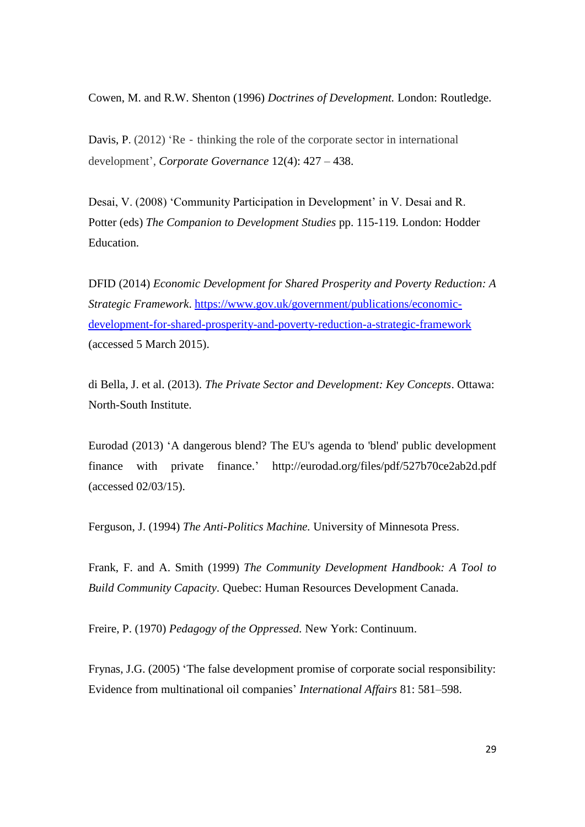Cowen, M. and R.W. Shenton (1996) *Doctrines of Development.* London: Routledge.

[Davis, P](http://www.emeraldinsight.com/action/doSearch?ContribStored=Davis%2C+P). (2012) 'Re - thinking the role of the corporate sector in international development', *Corporate Governance* 12(4): 427 – 438.

Desai, V. (2008) 'Community Participation in Development' in V. Desai and R. Potter (eds) *The Companion to Development Studies* pp. 115-119*.* London: Hodder Education.

DFID (2014) *Economic Development for Shared Prosperity and Poverty Reduction: A Strategic Framework*. [https://www.gov.uk/government/publications/economic](https://www.gov.uk/government/publications/economic-development-for-shared-prosperity-and-poverty-reduction-a-strategic-framework)[development-for-shared-prosperity-and-poverty-reduction-a-strategic-framework](https://www.gov.uk/government/publications/economic-development-for-shared-prosperity-and-poverty-reduction-a-strategic-framework) (accessed 5 March 2015).

di Bella, J. et al. (2013). *The Private Sector and Development: Key Concepts*. Ottawa: North-South Institute.

Eurodad (2013) 'A dangerous blend? The EU's agenda to 'blend' public development finance with private finance.' [http://eurodad.org/files/pdf/527b70ce2ab2d.pdf](http://eurodad.org/files/pdf/527b70ce2ab2d.pdf%20(accessed%2002/03/15)  [\(accessed](http://eurodad.org/files/pdf/527b70ce2ab2d.pdf%20(accessed%2002/03/15) 02/03/15).

Ferguson, J. (1994) *The Anti-Politics Machine.* University of Minnesota Press.

Frank, F. and A. Smith (1999) *The Community Development Handbook: A Tool to Build Community Capacity.* Quebec: Human Resources Development Canada.

Freire, P. (1970) *Pedagogy of the Oppressed.* New York: Continuum.

Frynas, J.G. (2005) 'The false development promise of corporate social responsibility: Evidence from multinational oil companies' *International Affairs* 81: 581–598.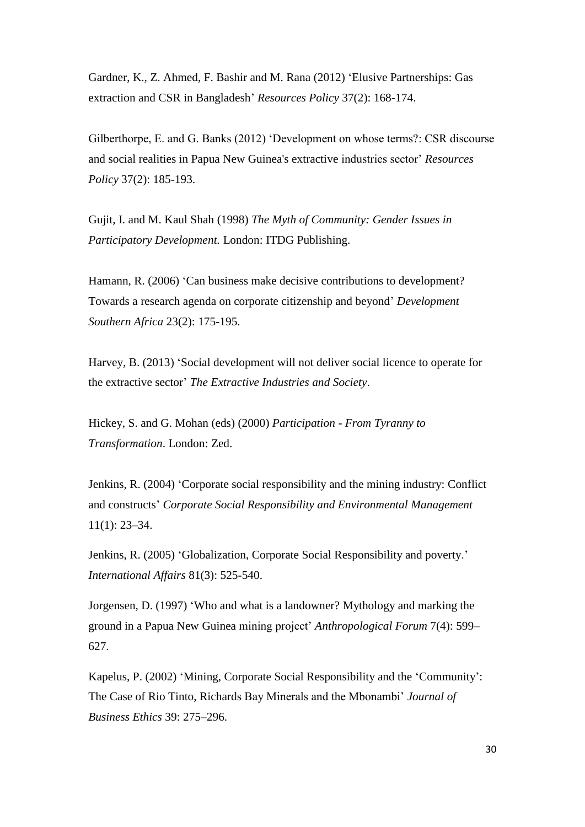Gardner, K., Z. Ahmed, F. Bashir and M. Rana (2012) 'Elusive Partnerships: Gas extraction and CSR in Bangladesh' *Resources Policy* 37(2): 168-174.

Gilberthorpe, E. and G. Banks (2012) 'Development on whose terms?: CSR discourse and social realities in Papua New Guinea's extractive industries sector' *Resources Policy* 37(2): 185-193.

Gujit, I. and M. Kaul Shah (1998) *The Myth of Community: Gender Issues in Participatory Development.* London: ITDG Publishing.

Hamann, R. (2006) 'Can business make decisive contributions to development? Towards a research agenda on corporate citizenship and beyond' *Development Southern Africa* 23(2): 175-195.

Harvey, B. (2013) 'Social development will not deliver social licence to operate for the extractive sector' *The Extractive Industries and Society*.

Hickey, S. and G. Mohan (eds) (2000) *Participation - From Tyranny to Transformation*. London: Zed.

Jenkins, R. (2004) 'Corporate social responsibility and the mining industry: Conflict and constructs' *Corporate Social Responsibility and Environmental Management* 11(1): 23–34.

Jenkins, R. (2005) 'Globalization, Corporate Social Responsibility and poverty.' *International Affairs* 81(3): 525-540.

Jorgensen, D. (1997) 'Who and what is a landowner? Mythology and marking the ground in a Papua New Guinea mining project' *Anthropological Forum* 7(4): 599– 627.

Kapelus, P. (2002) 'Mining, Corporate Social Responsibility and the 'Community': The Case of Rio Tinto, Richards Bay Minerals and the Mbonambi' *Journal of Business Ethics* 39: 275–296.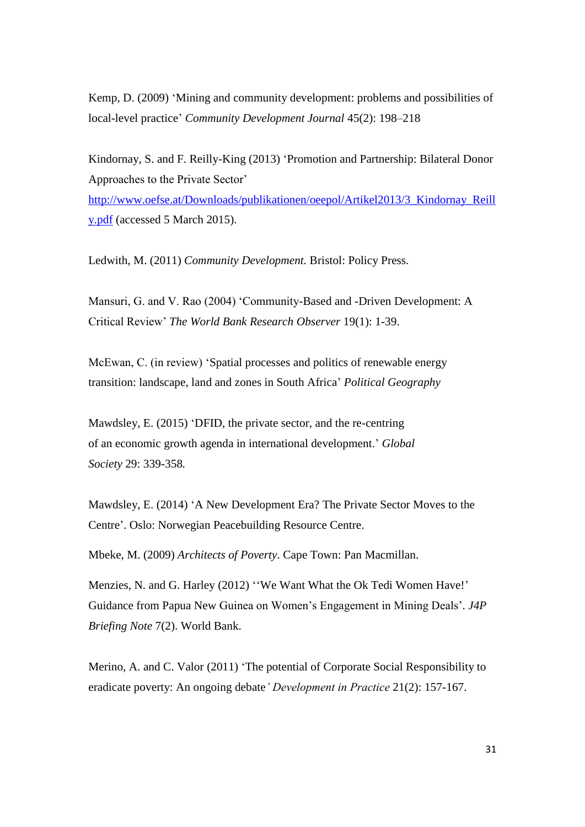Kemp, D. (2009) 'Mining and community development: problems and possibilities of local-level practice' *Community Development Journal* 45(2): 198–218

Kindornay, S. and F. Reilly-King (2013) 'Promotion and Partnership: Bilateral Donor Approaches to the Private Sector' [http://www.oefse.at/Downloads/publikationen/oeepol/Artikel2013/3\\_Kindornay\\_Reill](http://www.oefse.at/Downloads/publikationen/oeepol/Artikel2013/3_Kindornay_Reilly.pdf) [y.pdf](http://www.oefse.at/Downloads/publikationen/oeepol/Artikel2013/3_Kindornay_Reilly.pdf) (accessed 5 March 2015).

Ledwith, M. (2011) *Community Development.* Bristol: Policy Press.

Mansuri, G. and V. Rao (2004) 'Community-Based and -Driven Development: A Critical Review' *The World Bank Research Observer* 19(1): 1-39.

McEwan, C. (in review) 'Spatial processes and politics of renewable energy transition: landscape, land and zones in South Africa' *Political Geography*

Mawdsley, E. (2015) 'DFID, the private sector, and the re-centring of an economic growth agenda in international development.' *Global Society* 29: 339-358*.*

Mawdsley, E. (2014) 'A New Development Era? The Private Sector Moves to the Centre'. Oslo: Norwegian Peacebuilding Resource Centre.

Mbeke, M. (2009) *Architects of Poverty*. Cape Town: Pan Macmillan.

Menzies, N. and G. Harley (2012) ''We Want What the Ok Tedi Women Have!' Guidance from Papua New Guinea on Women's Engagement in Mining Deals'. *J4P Briefing Note* 7(2). World Bank.

Merino, A. and C. Valor (2011) 'The potential of Corporate Social Responsibility to eradicate poverty: An ongoing debate*' Development in Practice* 21(2): 157-167.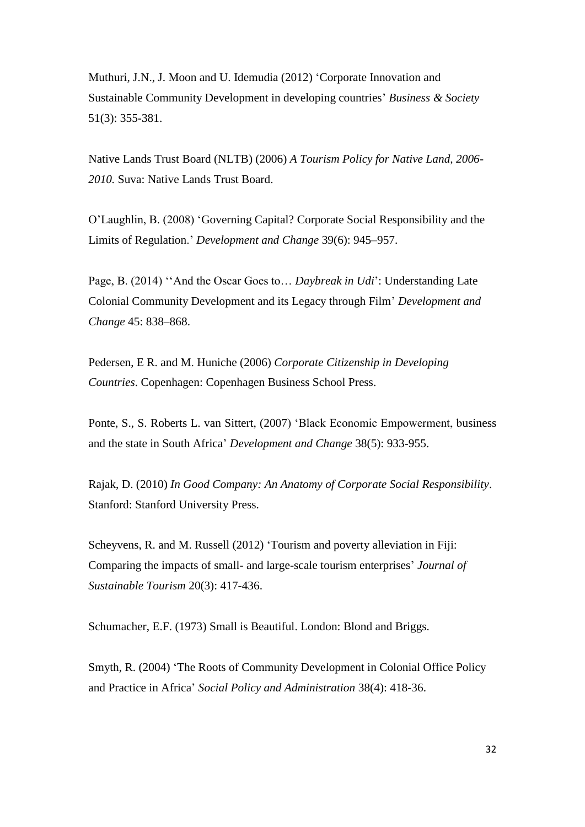Muthuri, J.N., J. Moon and U. Idemudia (2012) 'Corporate Innovation and Sustainable Community Development in developing countries' *Business & Society* 51(3): 355-381.

Native Lands Trust Board (NLTB) (2006) *A Tourism Policy for Native Land, 2006- 2010.* Suva: Native Lands Trust Board.

O'Laughlin, B. (2008) 'Governing Capital? Corporate Social Responsibility and the Limits of Regulation.' *Development and Change* 39(6): 945–957.

Page, B. (2014) ''And the Oscar Goes to… *Daybreak in Udi*': Understanding Late Colonial Community Development and its Legacy through Film' *Development and Change* 45: 838–868.

Pedersen, E R. and M. Huniche (2006) *Corporate Citizenship in Developing Countries*. Copenhagen: Copenhagen Business School Press.

Ponte, S., S. Roberts L. van Sittert, (2007) 'Black Economic Empowerment, business and the state in South Africa' *Development and Change* 38(5): 933-955.

Rajak, D. (2010) *In Good Company: An Anatomy of Corporate Social Responsibility*. Stanford: Stanford University Press.

Scheyvens, R. and M. Russell (2012) 'Tourism and poverty alleviation in Fiji: Comparing the impacts of small- and large-scale tourism enterprises' *Journal of Sustainable Tourism* 20(3): 417-436.

Schumacher, E.F. (1973) Small is Beautiful. London: Blond and Briggs.

Smyth, R. (2004) 'The Roots of Community Development in Colonial Office Policy and Practice in Africa' *Social Policy and Administration* 38(4): 418-36.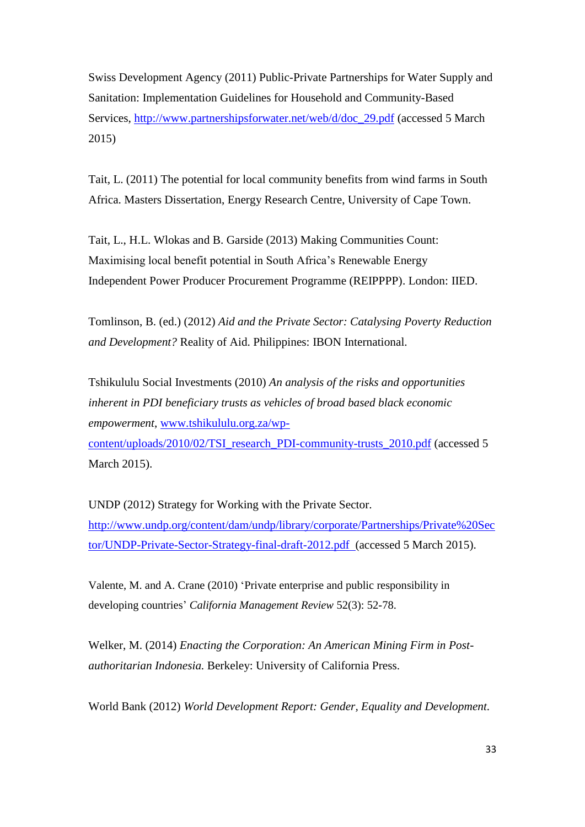Swiss Development Agency (2011) Public-Private Partnerships for Water Supply and Sanitation: Implementation Guidelines for Household and Community-Based Services, [http://www.partnershipsforwater.net/web/d/doc\\_29.pdf](http://www.partnershipsforwater.net/web/d/doc_29.pdf) (accessed 5 March 2015)

Tait, L. (2011) The potential for local community benefits from wind farms in South Africa. Masters Dissertation, Energy Research Centre, University of Cape Town.

Tait, L., H.L. Wlokas and B. Garside (2013) Making Communities Count: Maximising local benefit potential in South Africa's Renewable Energy Independent Power Producer Procurement Programme (REIPPPP). London: IIED.

Tomlinson, B. (ed.) (2012) *Aid and the Private Sector: Catalysing Poverty Reduction and Development?* Reality of Aid. Philippines: IBON International.

Tshikululu Social Investments (2010) *An analysis of the risks and opportunities inherent in PDI beneficiary trusts as vehicles of broad based black economic empowerment*, [www.tshikululu.org.za/wp](http://www.tshikululu.org.za/wp-content/uploads/2010/02/TSI_research_PDI-community-trusts_2010.pdf)[content/uploads/2010/02/TSI\\_research\\_PDI-community-trusts\\_2010.pdf](http://www.tshikululu.org.za/wp-content/uploads/2010/02/TSI_research_PDI-community-trusts_2010.pdf) (accessed 5 March 2015).

UNDP (2012) Strategy for Working with the Private Sector. [http://www.undp.org/content/dam/undp/library/corporate/Partnerships/Private%20Sec](http://www.undp.org/content/dam/undp/library/corporate/Partnerships/Private%20Sector/UNDP-Private-Sector-Strategy-final-draft-2012.pdf) [tor/UNDP-Private-Sector-Strategy-final-draft-2012.pdf](http://www.undp.org/content/dam/undp/library/corporate/Partnerships/Private%20Sector/UNDP-Private-Sector-Strategy-final-draft-2012.pdf) (accessed 5 March 2015).

Valente, M. and A. Crane (2010) 'Private enterprise and public responsibility in developing countries' *California Management Review* 52(3): 52-78.

Welker, M. (2014) *Enacting the Corporation: An American Mining Firm in Postauthoritarian Indonesia.* Berkeley: University of California Press.

World Bank (2012) *World Development Report: Gender, Equality and Development.*